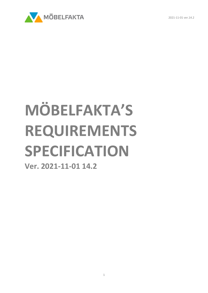2021-11-01 ver.14.2



# **MÖBELFAKTA'S REQUIREMENTS SPECIFICATION**

**Ver. 2021-11-01 14.2**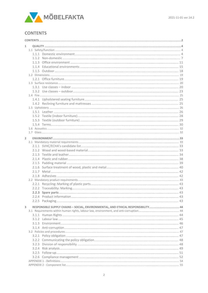

# <span id="page-1-0"></span>**CONTENTS**

| 1              |  |                                                                                 |  |
|----------------|--|---------------------------------------------------------------------------------|--|
|                |  |                                                                                 |  |
|                |  |                                                                                 |  |
|                |  |                                                                                 |  |
|                |  |                                                                                 |  |
|                |  |                                                                                 |  |
|                |  |                                                                                 |  |
|                |  |                                                                                 |  |
|                |  |                                                                                 |  |
|                |  |                                                                                 |  |
|                |  |                                                                                 |  |
|                |  |                                                                                 |  |
|                |  |                                                                                 |  |
|                |  |                                                                                 |  |
|                |  |                                                                                 |  |
|                |  |                                                                                 |  |
|                |  |                                                                                 |  |
|                |  |                                                                                 |  |
|                |  |                                                                                 |  |
|                |  |                                                                                 |  |
|                |  |                                                                                 |  |
|                |  |                                                                                 |  |
| $\overline{2}$ |  |                                                                                 |  |
|                |  |                                                                                 |  |
|                |  |                                                                                 |  |
|                |  |                                                                                 |  |
|                |  |                                                                                 |  |
|                |  |                                                                                 |  |
|                |  |                                                                                 |  |
|                |  |                                                                                 |  |
|                |  |                                                                                 |  |
|                |  |                                                                                 |  |
|                |  |                                                                                 |  |
|                |  |                                                                                 |  |
|                |  |                                                                                 |  |
|                |  |                                                                                 |  |
|                |  |                                                                                 |  |
|                |  |                                                                                 |  |
|                |  |                                                                                 |  |
| 3              |  | RESPONSIBLE SUPPLY CHAINS - SOCIAL, ENVIRONMENTAL, AND ETHICAL RESPONSIBILITY44 |  |
|                |  |                                                                                 |  |
|                |  |                                                                                 |  |
|                |  |                                                                                 |  |
|                |  |                                                                                 |  |
|                |  |                                                                                 |  |
|                |  |                                                                                 |  |
|                |  |                                                                                 |  |
|                |  |                                                                                 |  |
|                |  |                                                                                 |  |
|                |  |                                                                                 |  |
|                |  |                                                                                 |  |
|                |  |                                                                                 |  |
|                |  |                                                                                 |  |
|                |  |                                                                                 |  |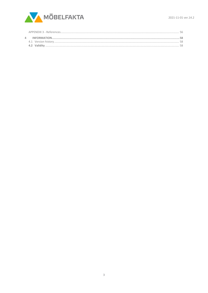

<span id="page-2-0"></span>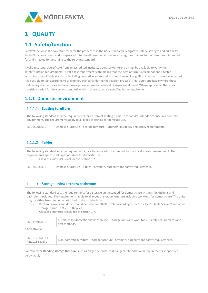

# **1 QUALITY**

# <span id="page-3-0"></span>**1.1 Safety/function**

Safety/function is the collective term for the properties in the basic standards designated safety, strength and durability. Safety/function covers, and is separated into, the different environmental categories that an item of furniture is intended for and is tested for according to the relevant standard.

A valid test report/certificate from an accredited institute/laboratory/enterprise must be available to verify the safety/function requirements. A valid test report/certificate means that the item of furniture/component is tested according to applicable standards including normative annex and has not changed in significant respects since it was tested. It is possible to test according to preliminary standards during the revision process. This is only applicable where those preliminary standards are in the approval phase where no technical changes are allowed. Where applicable, there is a transition period for the current standard which in those cases are specified in the requirement.

## <span id="page-3-1"></span>**1.1.1 Domestic environment**

#### 1.1.1.1 Seating furniture

The following standard sets the requirements for an item of seating furniture for adults, intended for use in a domestic environment. The requirements apply to all types of seating for domestic use.

| EN 12520:2016 | Domestic furniture - Seating furniture - Strength, durability and safety requirements. |
|---------------|----------------------------------------------------------------------------------------|
|---------------|----------------------------------------------------------------------------------------|

## **Tables**

The following standard sets the requirements for a table for adults, intended for use in a domestic environment. The requirements apply to all types of tables for domestic use.

- Glass as a material is included in section 1.7.

EN 12521:2016 Domestic furniture – Tables – Strength, durability and safety requirements.

## **Storage units/kitchen/bathroom**

The following standard sets the requirements for a storage unit intended for domestic use. Fittings for kitchens and bathrooms included. The requirements apply to all types of storage furniture including worktops for domestic use. The units may be either freestanding or attached to the wall/building.

- Kitchen drawers and doors should be tested at 80,000 cycles according to EN 16121:2013 table 5 level 2 and other storage furniture at 20,000 cycles.
- Glass as a material is included in section 1.7.

| EN 14749:2016 | Furniture for domestic and kitchen use – Storage units and work tops – Safety requirements and<br>test methods. |
|---------------|-----------------------------------------------------------------------------------------------------------------|
|---------------|-----------------------------------------------------------------------------------------------------------------|

Alternatively:

| $\mathsf{EN}\,16121:2013 +$<br>' Non-domestic furniture - Storage furniture - Strength, durability and safety requirements.<br>A1:2018 Level 1 |
|------------------------------------------------------------------------------------------------------------------------------------------------|
|------------------------------------------------------------------------------------------------------------------------------------------------|

For other **freestanding storage furniture** such as magazine racks, coat hangers, etc. additional requirements as specified below apply: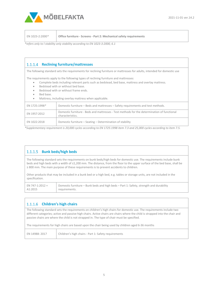

EN 1023-2:2000*\** **Office furniture - Screens - [Part 2: Mechanical safety requirements](http://www.sis.se/hem-och-hush%C3%A5ll-underh%C3%A5llning-sport/m%C3%B6bler/ss-en-1023-2)**

*\*refers only to l stability only stability according to EN 1023-3:2000, 6.1*

## **Reclining furniture/mattresses**

The following standard sets the requirements for reclining furniture or mattresses for adults, intended for domestic use

The requirements apply to the following types of reclining furniture and mattresses:

- Complete beds including relevant parts such as bedstead, bed base, mattress and overlay mattress.
- Bedstead with or without bed base.
- Bedstead with or without frame ends.
- Bed base.
- Mattress, including overlay mattress when applicable.

| EN 1725:1998* | Domestic furniture – Beds and mattresses – Safety requirements and test methods.                                |
|---------------|-----------------------------------------------------------------------------------------------------------------|
| EN 1957:2012  | Domestic furniture - Beds and mattresses - Test methods for the determination of functional<br>characteristics. |
| EN 1022:2018  | Domestic furniture - Seating - Determination of stability                                                       |

*\*Supplementary requirement is 20,000 cycles according to EN 1725:1998 item 7.3 and 25,000 cycles according to item 7.5.* 

## **Bunk beds/high beds**

The following standard sets the requirements on bunk beds/high beds for domestic use. The requirements include bunk beds and high beds with a width of ≤1,200 mm. The distance, from the floor to the upper surface of the bed base, shall be ≥ 800 mm. The main purpose of these requirements is to prevent accidents to children.

Other products that may be included in a bunk bed or a high bed, e.g. tables or storage units, are not included in the specification.

| EN 747-1:2012 + | Domestic furniture – Bunk beds and high beds – Part 1: Safety, strength and durability |
|-----------------|----------------------------------------------------------------------------------------|
| A1:2015         | requirements.                                                                          |

## **Children's high chairs**

The following standard sets the requirements on children's high chairs for domestic use. The requirements include two different categories; active and passive high chairs. Active chairs are chairs where the child is strapped into the chair and passive chairs are where the child is not strapped in. The type of chair must be specified.

The requirements for high chairs are based upon the chair being used by children aged 6-36 months

| EN 14988: 2017 | Children's high chairs - Part 1: Safety requirements |
|----------------|------------------------------------------------------|
|                |                                                      |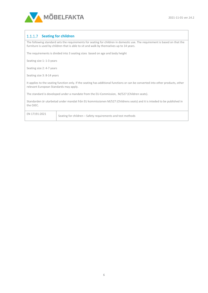

## 1.1.1.7 Seating for children

The following standard sets the requirements for seating for children in domestic use. The requirement is based on that the furniture is used by children that is able to sit and walk by themselves up to 14 years.

The requirements is divided into 3 seating sizes based on age and body height

Seating size 1: 1-3 years

Seating size 2: 4-7 years

Seating size 3: 8-14 years

It applies to the seating function only. If the seating has additional functions or can be converted into other products, other relevant European Standards may apply.

The standard is developed under a mandate from the EU-Commission, M/527 (Children seats).

Standarden är utarbetad under mandat från EU kommissionen M/527 (Childrens seats) and it is inteded to be published in the OJEC.

| EN 17191:2021 | Seating for children – Safety requirements and test methods |
|---------------|-------------------------------------------------------------|
|---------------|-------------------------------------------------------------|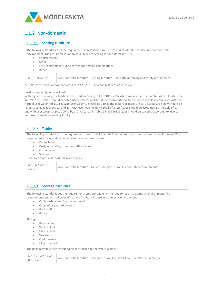

# <span id="page-6-0"></span>**1.1.2 Non-domestic**

#### 1.1.2.1 Seating furniture

The following standard sets the requirements on seating furniture for adults intended for use in a non-domestic environment. The requirements apply to all types of seating for non-domestic use:

- Chair/armchair
- Stool
- Easy chair/sofa including corner and section combinations
- Bench

EN 16139:2013\* Non-domestic furniture - Seating furniture - [Strength, durability and safety requirements.](http://www.sis.se/hem-och-hush%C3%A5ll-underh%C3%A5llning-sport/m%C3%B6bler/ss-en-161392013)

*\*Furniture tested in accordance with EN 16139:2013 should be tested to at least level 1.*

#### **Load listing at higher user loads**

With higher user weights, loads can be listed according to ISO 21015:2007 which means that the number of test loads in EN 16139: 2013 Table 1 should be listed using a factor which is directly proportional to the increase in load compared with the normal user weight of 110 kg. With user weights exceeding 110 kg the factors in Table 1 in EN 16139:2013 below should be listed: 1, 2, 4, 6, 8, 9, 10, 12, and 13. With user weights up to 160 kg factors/loads should be listed using a multiple of 1.4 and with user weights up to 200 kg by 1.8. Factor 14 in Table 1 in EN 16139:2013 should be selected according to level 2 with user weights exceeding 110 kg.

## **Tables**

The following standard sets the requirements on a table for adults intended for use in a non-domestic environment. The requirements include all types of table for non-domestic use:

- Dining table
- Desk/work table, other non-office tables
- Coffee table
- Sideboard

Glass as a material is included in section 1.7.

EN 15372:2016\*

EN 15572.2016<br>Level 2 Non-domestic furniture - Tables - Strength, durability and safety requirements.

## 1.1.2.3 Storage furniture

The following standards set the requirements on a storage unit intended for use in a domestic environment. The requirements apply to all types of storage furniture for use in a domestic environment:

- Cupboard/cabinet/corner cupboard
- Chest of drawers/draw unit
- Bookshelf
- Bureau

Fittings:

- Base cabinet
- Wall cabinet
- High cabinet
- Worktops
- Coat hangers
- Magazine racks

The units may be either freestanding or attached to the wall/building.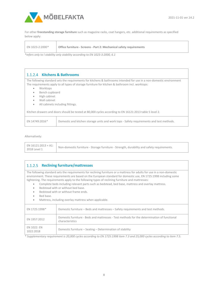

For other **freestanding storage furniture** such as magazine racks, coat hangers, etc. additional requirements as specified below apply:

| EN 1023-2:2000* | Office furniture - Screens - Part 2: Mechanical safety requirements |
|-----------------|---------------------------------------------------------------------|
|-----------------|---------------------------------------------------------------------|

*\*refers only to l stability only stability according to EN 1023-3:2000, 6.1*

## **Kitchens & Bathrooms** The following standard sets the requirements for kitchens & bathrooms intended for use in a non-domestic environment The requirements apply to all types of storage furniture for kitchen & bathroom incl. worktops: • Worktops • Bench cupboard • High cabinet • Wall cabinet All cabinets including fittings. Kitchen drawers and doors should be tested at 80,000 cycles according to EN 16121:2013 table 5 level 2. EN 14749:2016*\** Domestic and kitchen storage units and work tops - Safety requirements and test methods.

Alternatively:

#### **1.1.2.5 Reclining furniture/mattresses**

The following standard sets the requirements for reclining furniture or a mattress for adults for use in a non-domestic environment. These requirements are based on the European standard for domestic use, EN 1725:1998 including some tightening. The requirements apply to the following types of reclining furniture and mattresses:

- Complete beds including relevant parts such as bedstead, bed base, mattress and overlay mattress.
- Bedstead with or without bed base.
- Bedstead with or without frame ends.
- Bed base.
- Mattress, including overlay mattress when applicable.

| EN 1725:1998*            | Domestic furniture – Beds and mattresses – Safety requirements and test methods.                               |
|--------------------------|----------------------------------------------------------------------------------------------------------------|
| EN 1957:2012             | Domestic furniture - Beds and mattresses - Test methods for the determination of functional<br>characteristics |
| EN 1022: EN<br>1022:2018 | Domestic furniture - Seating - Determination of stability                                                      |

*\* Supplementary requirement is 20,000 cycles according to EN 1725:1998 item 7.3 and 25,000 cycles according to item 7.5.*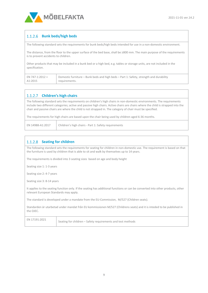

## **Bunk beds/high beds**

The following standard sets the requirements for bunk beds/high beds intended for use in a non-domestic environment.

The distance, from the floor to the upper surface of the bed base, shall be ≥800 mm. The main purpose of the requirements is to prevent accidents to children.

Other products that may be included in a bunk bed or a high bed, e.g. tables or storage units, are not included in the specification.

| EN 747-1:2012 + | Domestic furniture – Bunk beds and high beds – Part 1: Safety, strength and durability |
|-----------------|----------------------------------------------------------------------------------------|
| A1:2015         | requirements.                                                                          |

## **Children's high chairs**

The following standard sets the requirements on children's high chairs in non-domestic environments. The requirements include two different categories; active and passive high chairs. Active chairs are chairs where the child is strapped into the chair and passive chairs are where the child is not strapped in. The category of chair must be specified.

The requirements for high chairs are based upon the chair being used by children aged 6-36 months.

|  | EN 14988-A1:2017   Children's high chairs - Part 1: Safety requirements |
|--|-------------------------------------------------------------------------|
|--|-------------------------------------------------------------------------|

#### 1.1.2.8 **Seating for children**

The following standard sets the requirements for seating for children in non-domestic use. The requirement is based on that the furniture is used by children that is able to sit and walk by themselves up to 14 years.

The requirements is divided into 3 seating sizes based on age and body height

Seating size 1: 1-3 years

Seating size 2: 4-7 years

Seating size 3: 8-14 years

It applies to the seating function only. If the seating has additional functions or can be converted into other products, other relevant European Standards may apply.

The standard is developed under a mandate from the EU-Commission, M/527 (Children seats).

Standarden är utarbetad under mandat från EU kommissionen M/527 (Childrens seats) and it is inteded to be published in the OJEC.

| Е | $\mathbf{y}$ | 11 | . -<br>n. |  |
|---|--------------|----|-----------|--|
|   |              |    |           |  |

Seating for children – Safety requirements and test methods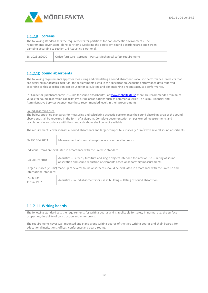

#### 1.1.2.9 **Screens**

The following standard sets the requirements for partitions for non-domestic environments. The requirements cover stand-alone partitions. Declaring the equivalent sound-absorbing area and screen damping according to section 1.6 Acoustics is optional.

EN 1023-2:2000 Office furniture - Screens – Part 2: Mechanical safety requirements

## 1.1.2.10 Sound absorbents

The following requirements apply for measuring and calculating a sound absorbent's acoustic performance. Products that are declared in **Acoustic Facts** fulfil the requirements listed in the specification. Acoustic performance data reported according to this specification can be used for calculating and dimensioning a room's acoustic performance.

In "Guide för ljudabsorbenter" ("Guide for sound absorbents") a[t www.mobelfakta.se](http://www.mobelfakta.se/) there are recommended minimum values for sound absorption capacity. Procuring organisations such as Kammarkollegiet (The Legal, Financial and Administrative Services Agency) use these recommended levels in their procurements.

#### Sound absorbing area

The below-specified standards for measuring and calculating acoustic performance the sound absorbing area of the sound absorbent shall be reported in the form of a diagram. Complete documentation on performed measurements and calculations in accordance with the standards above shall be kept available.

The requirements cover individual sound absorbents and larger composite surfaces (> 10m<sup>2</sup>) with several sound absorbents.

| EN ISO 354:2003                                                                                                                                            | Measurement of sound absorption in a reverberation room.                                                                                                                       |  |
|------------------------------------------------------------------------------------------------------------------------------------------------------------|--------------------------------------------------------------------------------------------------------------------------------------------------------------------------------|--|
|                                                                                                                                                            | Individual items are evaluated in accordance with the Swedish standard:                                                                                                        |  |
| ISO 20189:2018                                                                                                                                             | Acoustics -- Screens, furniture and single objects intended for interior use -- Rating of sound<br>absorption and sound reduction of elements based on laboratory measurements |  |
| Larger surfaces (>10m <sup>2</sup> ) made up of several sound absorbents should be evaluated in accordance with the Swedish and<br>international standard: |                                                                                                                                                                                |  |
| SS-EN ISO<br>11654:1997                                                                                                                                    | Acoustics - Sound absorbents for use in buildings - Rating of sound absorption                                                                                                 |  |

#### **Writing boards**

The following standard sets the requirements for writing boards and is applicable for safety in normal use, the surface properties, durability of construction and ergonomics.

The requirements cover wall-mounted and stand-alone writing boards of the type writing boards and chalk boards, for educational institutions, offices, conference and board rooms.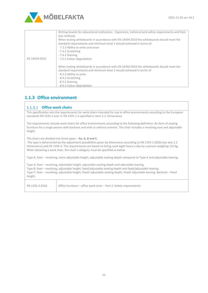

| EN 14434:2010 | Writing boards for educational institutions - Ergonomic, technical and safety requirements and their<br>test methods<br>When testing whiteboards in accordance with EN 14434:2010 the whiteboards should meet the<br>standard requirements and minimum level 2 should achieved in terms of:<br>- 7.2.3 Ability to write and erase<br>- 7.3.2 Scratching<br>- 7.4.2 Staining<br>- 7.5.2 Colour degradation |
|---------------|-----------------------------------------------------------------------------------------------------------------------------------------------------------------------------------------------------------------------------------------------------------------------------------------------------------------------------------------------------------------------------------------------------------|
|               | When testing whiteboards in accordance with EN 14434:2010 the whiteboards should meet the<br>standard requirements and minimum level 2 should achieved in terms of<br>- 8.3.3 Ability to write<br>- 8.4.2 Scratching<br>- 8.5.2 Staining<br>- 8.6.2 Colour degradation                                                                                                                                    |

# <span id="page-10-0"></span>**1.1.3 Office environment**

#### **Office work chairs**

This specification sets the requirements for work chairs intended for use in office environments according to the European standards EN 1335-2 and -3. EN 1335-1 is specified in item 1.2. Dimensions

The requirements include work chairs for office environments according to the following definition: An item of seating furniture for a single person with backrest and with or without armrest. The chair includes a revolving seat and adjustable height.

The chairs are divided into three types – **Ax, A, B and C.**

The type is determined by the adjustment possibilities given by dimensions according to EN 1335-1:2020 (see also 1.2 Dimensions) and EN 1335-4. The requirements are based on being used eight hours a day by a person weighing 110 kg. When declaring a work chair, the chair's category must be specified as below.

Type A: Seat – revolving, more adjustable height, adjustable seating-depth compared to Type A and adjustable leaning.

Type A: Seat – revolving, adjustable height, adjustable seating-depth and adjustable leaning. Type B: Seat – revolving, adjustable height, fixed/adjustable seating-depth and fixed/adjustable leaning. Type C: Seat – revolving, adjustable height, fixed/ adjustable seating-depth, fixed/ adjustable leaning. Backrest – fixed height.

EN 1335-2:2018 Office furniture – office work chair – Part 2: Safety requirements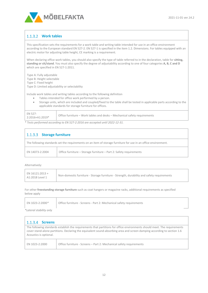

## **Work tables**

This specification sets the requirements for a work table and writing table intended for use in an office environment according to the European standard EN 527-2. EN 527-1 is specified in the item 1.2. Dimensions. For tables equipped with an electric motor for adjusting table height, CE marking is a requirement.

When declaring office work tables, you should also specify the type of table referred to in the declaration, table for **sitting, standing or sit/stand**. You must also specify the degree of adjustability according to one of four categories **A, B, C and D** which are specified in EN 527-1:2011.

Type A: Fully adjustable Type B: Height selectable Type C: Fixed height Type D: Limited adjustability or selectability

- Include work tables and writing tables according to the following definition
	- Tables intended for office work performed by a person.
	- Storage units, which are included and coupled/fixed to the table shall be tested in applicable parts according to the applicable standards for storage furniture for offices.

|--|

*\* Tests performed according to EN 527-2:2016 are accepted until 2022-12-31.*

| 1.1.3.3 Storage furniture                                                                                      |                                                                    |  |
|----------------------------------------------------------------------------------------------------------------|--------------------------------------------------------------------|--|
| The following standards set the requirements on an item of storage furniture for use in an office environment. |                                                                    |  |
| EN 14073-2:2004                                                                                                | Office furniture – Storage furniture – Part 2: Safety requirements |  |
|                                                                                                                |                                                                    |  |

Alternatively:

For other **freestanding storage furniture** such as coat hangers or magazine racks, additional requirements as specified below apply

| EN 1023-2:2000*         | Office furniture - Screens - Part 2: Mechanical safety requirements |
|-------------------------|---------------------------------------------------------------------|
| *Lateral stability only |                                                                     |

*\*Lateral stability only*

| <b>Screens</b><br>1.1.3.4                                                                                                                                                                                                                                                     |                                                                     |  |
|-------------------------------------------------------------------------------------------------------------------------------------------------------------------------------------------------------------------------------------------------------------------------------|---------------------------------------------------------------------|--|
| The following standards establish the requirements that partitions for office environments should meet. The requirements<br>cover stand-alone partitions. Declaring the equivalent sound-absorbing area and screen damping according to section 1.6<br>Acoustics is optional. |                                                                     |  |
| EN 1023-2:2000                                                                                                                                                                                                                                                                | Office furniture - Screens - Part 2: Mechanical safety requirements |  |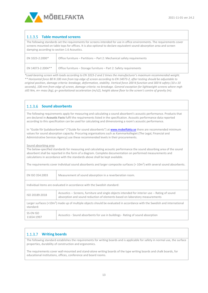

#### **Table mounted screens**

The following standards set the requirements for screens intended for use in office environments. The requirements cover screens mounted on table tops for offices. It is also optional to declare equivalent sound-absorption area and screen damping according to section 1.6 Acoustics.

| $^{\prime}$ EN 1023-2:2000* | Office furniture – Partitions – Part 2: Mechanical safety requirements |
|-----------------------------|------------------------------------------------------------------------|
| EN 14073-2:2004**           | Office furniture – Storage furniture – Part 2: Safety requirements     |

*\*Load-bearing screen with loads according to EN 1023-2 and 2 times the manufacturer's maximum recommended weight. \*\* Horizontal force 80 N 100 mm from top edge of screen according to EN 14073-2, after testing should be adjustable to original position, damage criteria: breakage, deformation, stability. Vertical force 200 N function and 300 N safety (10 x 10 seconds), 100 mm from edge of screen, damage criteria: no breakage. General exception for lightweight screens where mgh ≤65 Nm, m= mass (kg), g= gravitational acceleration (m/s2), height above floor to the screen's centre of gravity (m).*

#### **Sound absorbents**

The following requirements apply for measuring and calculating a sound absorbent's acoustic performance. Products that are declared in **Acoustic Facts** fulfil the requirements listed in the specification. Acoustic performance data reported according to this specification can be used for calculating and dimensioning a room's acoustic performance.

In "Guide för ljudabsorbenter" ("Guide for sound absorbents") at **www.mobelfakta.se** there are recommended minimum values for sound absorption capacity. Procuring organisations such as Kammarkollegiet (The Legal, Financial and Administrative Services Agency) use these recommended levels in their procurements.

Sound absorbing area

The below-specified standards for measuring and calculating acoustic performance the sound absorbing area of the sound absorbent shall be reported in the form of a diagram. Complete documentation on performed measurements and calculations in accordance with the standards above shall be kept available.

The requirements cover individual sound absorbents and larger composite surfaces ( $> 10$ m<sup>2</sup>) with several sound absorbents.

| EN ISO 354:2003                                                                                                                          | Measurement of sound absorption in a reverberation room.                                                                                                                       |
|------------------------------------------------------------------------------------------------------------------------------------------|--------------------------------------------------------------------------------------------------------------------------------------------------------------------------------|
| Individual items are evaluated in accordance with the Swedish standard:                                                                  |                                                                                                                                                                                |
| ISO 20189:2018                                                                                                                           | Acoustics -- Screens, furniture and single objects intended for interior use -- Rating of sound<br>absorption and sound reduction of elements based on laboratory measurements |
| Larger surfaces ( $>10m$ ) made up of multiple objects should be evaluated in accordance with the Swedish and international<br>standard: |                                                                                                                                                                                |
| SS-EN ISO<br>11654:1997                                                                                                                  | Acoustics - Sound absorbents for use in buildings - Rating of sound absorption                                                                                                 |

## **Writing boards**

The following standard establishes the requirements for writing boards and is applicable for safety in normal use, the surface properties, durability of construction and ergonomics.

The requirements cover wall-mounted and stand-alone writing boards of the type writing boards and chalk boards, for educational institutions, offices, conference and board rooms.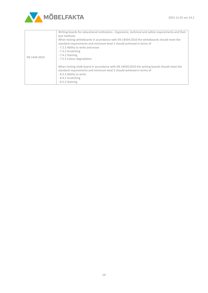

|              | Writing boards for educational institutions - Ergonomic, technical and safety requirements and their<br>test methods<br>When testing whiteboards in accordance with EN 14434:2010 the whiteboards should meet the<br>standard requirements and minimum level 2 should achieved in terms of |
|--------------|--------------------------------------------------------------------------------------------------------------------------------------------------------------------------------------------------------------------------------------------------------------------------------------------|
|              | - 7.2.3 Ability to write and erase<br>- 7.3.2 Scratching                                                                                                                                                                                                                                   |
| EN 1434:2010 | - 7.4.2 Staining<br>- 7.5.2 Colour degradation                                                                                                                                                                                                                                             |
|              | When testing chalk board in accordance with EN 14434:2010 the writing boards should meet the<br>standard requirements and minimum level 2 should achieved in terms of<br>- 8.3.3 Ability to write<br>- 8.4.2 Scratching<br>- 8.5.2 Staining                                                |
|              |                                                                                                                                                                                                                                                                                            |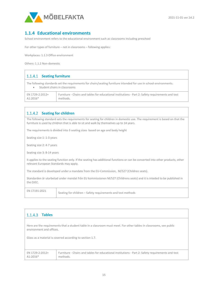

## <span id="page-14-0"></span>**1.1.4 Educational environments**

School environment refers to the educational environment such as classrooms including preschool

For other types of furniture – not in classrooms – following applies:

Workplaces: 1.1.3 Office environment

Others: 1.1.2 Non-domestic

#### 1.1.4.1 Seating furniture The following standards set the requirements for chairs/seating furniture intended for use in school environments. • Student chairs in classrooms EN 1729-2:2012+  $41.2016*$ Furniture - Chairs and tables for educational institutions - Part 2: Safety requirements and test methods.

## 1.1.4.2 Seating for children

The following standard sets the requirements for seating for children in domestic use. The requirement is based on that the furniture is used by children that is able to sit and walk by themselves up to 14 years.

The requirements is divided into 3 seating sizes based on age and body height

Seating size 1: 1-3 years

Seating size 2: 4-7 years

Seating size 3: 8-14 years

It applies to the seating function only. If the seating has additional functions or can be converted into other products, other relevant European Standards may apply.

The standard is developed under a mandate from the EU-Commission, M/527 (Children seats).

Standarden är utarbetad under mandat från EU kommissionen M/527 (Childrens seats) and it is inteded to be published in the OJEC.

#### **Tables**

Here are the requirements that a student table in a classroom must meet. For other tables in classrooms, see public environment and offices.

Glass as a material is covered according to section 1.7.

| EN 1729-2:2012+ | Furniture - Chairs and tables for educational institutions - Part 2: Safety requirements and test |
|-----------------|---------------------------------------------------------------------------------------------------|
| A1:2016*        | methods.                                                                                          |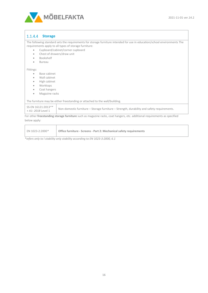

#### $1.1.4.4$ **Storage**

The following standard sets the requirements for storage furniture intended for use in education/school environments The requirements apply to all types of storage furniture:

- Cupboard/cabinet/corner cupboard
- Chest of drawers/draw unit
- Bookshelf
- Bureau

Fittings:

- Base cabinet
- Wall cabinet
- High cabinet
- Worktops
- Coat hangers
- Magazine racks

The furniture may be either freestanding or attached to the wall/building.

| SS-EN 16121:2013**<br>Non-domestic furniture - Storage furniture - Strength, durability and safety requirements.<br>+ A1: 2018 Level 1 |
|----------------------------------------------------------------------------------------------------------------------------------------|
|----------------------------------------------------------------------------------------------------------------------------------------|

For other **freestanding storage furniture** such as magazine racks, coat hangers, etc. additional requirements as specified below apply:

| EN 1023-2:2000* | Office furniture - Screens - Part 2: Mechanical safety requirements |
|-----------------|---------------------------------------------------------------------|
|                 |                                                                     |

*\*refers only to l stability only stability according to EN 1023-3:2000, 6.1*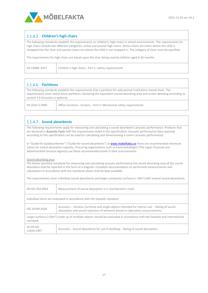

## **Children's high chairs**

The following standards establish the requirements on children's high chairs in school environments. The requirements for high chairs include two different categories; active and passive high chairs. Active chairs are chairs where the child is strapped into the chair and passive chairs are where the child is not strapped in. The category of chair must be specified.

The requirements for high chairs are based upon the chair being used by children aged 6-36 months.

| Children's high chairs - Part 1: Safety requirements<br>EN 14988: 2017 |
|------------------------------------------------------------------------|
|------------------------------------------------------------------------|

| $1.1.4.6$ Partitions                                                                                                                                                                                                                                                                |                                                                     |
|-------------------------------------------------------------------------------------------------------------------------------------------------------------------------------------------------------------------------------------------------------------------------------------|---------------------------------------------------------------------|
| The following standards establish the requirements that a partition for educational institutions should meet. The<br>requirements cover stand-alone partitions. Declaring the equivalent sound-absorbing area and screen damping according to<br>section 1.6 Acoustics is optional. |                                                                     |
| EN 1023-2:2000                                                                                                                                                                                                                                                                      | Office furniture - Screens - Part 2: Mechanical safety requirements |

## 1.1.4.7 Sound absorbents

The following requirements apply for measuring and calculating a sound absorbent's acoustic performance. Products that are declared in **Acoustic Facts** fulfil the requirements listed in the specification. Acoustic performance data reported according to this specification can be used for calculating and dimensioning a room's acoustic performance.

In "Guide för ljudabsorbenter" ("Guide for sound absorbents") a[t www.mobelfakta.se](http://www.mobelfakta.se/) there are recommended minimum values for sound absorption capacity. Procuring organisations such as Kammarkollegiet (The Legal, Financial and Administrative Services Agency) use these recommended levels in their procurements.

Sound absorbing area

The below-specified standards for measuring and calculating acoustic performance the sound absorbing area of the sound absorbent shall be reported in the form of a diagram. Complete documentation on performed measurements and calculations in accordance with the standards above shall be kept available.

The requirements cover individual sound absorbents and larger composite surfaces ( $> 10$ m<sup>2</sup>) with several sound absorbents.

| EN ISO 354:2003                                                                                                                          | Measurement of sound absorption in a reverberation room.                                                                                                                       |
|------------------------------------------------------------------------------------------------------------------------------------------|--------------------------------------------------------------------------------------------------------------------------------------------------------------------------------|
| Individual items are evaluated in accordance with the Swedish standard:                                                                  |                                                                                                                                                                                |
| ISO 20189:2018                                                                                                                           | Acoustics -- Screens, furniture and single objects intended for interior use -- Rating of sound<br>absorption and sound reduction of elements based on laboratory measurements |
| Larger surfaces ( $>10m$ ) made up of multiple objects should be evaluated in accordance with the Swedish and international<br>standard: |                                                                                                                                                                                |
| SS-EN ISO<br>11654:1997                                                                                                                  | Acoustics - Sound absorbents for use in buildings - Rating of sound absorption                                                                                                 |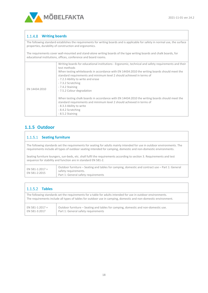

## **Writing boards**

The following standard establishes the requirements for writing boards and is applicable for safety in normal use, the surface properties, durability of construction and ergonomics.

The requirements cover wall-mounted and stand-alone writing boards of the type writing boards and chalk boards, for educational institutions, offices, conference and board rooms.

|               | Writing boards for educational institutions - Ergonomic, technical and safety requirements and their<br>test methods<br>When testing whiteboards in accordance with EN 14434:2010 the writing boards should meet the<br>standard requirements and minimum level 2 should achieved in terms of<br>- 7.2.3 Ability to write and erase<br>- 7.3.2 Scratching<br>- 7.4.2 Staining |
|---------------|-------------------------------------------------------------------------------------------------------------------------------------------------------------------------------------------------------------------------------------------------------------------------------------------------------------------------------------------------------------------------------|
| EN 14434:2010 | - 7.5.2 Colour degradation                                                                                                                                                                                                                                                                                                                                                    |
|               | When testing chalk boards in accordance with EN 14434:2010 the writing boards should meet the<br>standard requirements and minimum level 2 should achieved in terms of<br>- 8.3.3 Ability to write<br>- 8.4.2 Scratching<br>- 8.5.2 Staining                                                                                                                                  |

## <span id="page-17-0"></span>**1.1.5 Outdoor**

#### 1.1.5.1 Seating furniture

The following standards set the requirements for seating for adults mainly intended for use in outdoor environments. The requirements include all types of outdoor seating intended for camping, domestic and non-domestic environments.

Seating furniture loungers, sun-beds, etc. shall fulfil the requirements according to section 3. Requirements and test sequence for stability and function are in standard EN 581-2.

| EN 581-1:2017 +<br>EN 581-2:2015 | Outdoor furniture – Seating and tables for camping, domestic and contract use – Part 1: General<br>safety requirements. |
|----------------------------------|-------------------------------------------------------------------------------------------------------------------------|
|                                  | Part 1: General safety requirements                                                                                     |

## **Tables**

The following standards set the requirements for a table for adults intended for use in outdoor environments. The requirements include all types of tables for outdoor use in camping, domestic and non-domestic environment. EN 581-1:2017 + EN 581-3:2017 Outdoor furniture – Seating and tables for camping, domestic and non-domestic use. Part 1: General safety requirements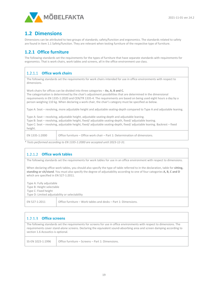

# <span id="page-18-0"></span>**1.2 Dimensions**

Dimensions can be attributed to two groups of standards; safety/function and ergonomics. The standards related to safety are found in item 1.1 Safety/function. They are relevant when testing furniture of the respective type of furniture.

## <span id="page-18-1"></span>**1.2.1 Office furniture**

The following standards set the requirements for the types of furniture that have separate standards with requirements for ergonomics. That is work chairs, work tables and screens, all in the office environment use class.

## **Office work chairs**

The following standards set the requirements for work chairs intended for use in office environments with respect to dimensions.

Work chairs for offices can be divided into three categories – **Ax, A, B and C.**

The categorisation is determined by the chair's adjustment possibilities that are determined in the dimensional requirements in EN 1335-1:2020 and CEN/TR 1335-4. The requirements are based on being used eight hours a day by a person weighing 110 kg. When declaring a work chair, the chair's category must be specified as below.

Type A: Seat – revolving, more adjustable height and adjustable seating-depth compared to Type A and adjustable leaning.

Type A: Seat – revolving, adjustable height, adjustable seating-depth and adjustable leaning. Type B: Seat – revolving, adjustable height, fixed/ adjustable seating-depth, fixed/ adjustable leaning. Type C: Seat – revolving, adjustable height, fixed/ adjustable seating-depth, fixed/ adjustable leaning. Backrest – fixed height.

EN 1335-1:2000 Office furniture – Office work chair – Part 1: Determination of dimensions.

*\* Tests performed according to EN 1335-1:2000 are accepted until 2023-12-31.*

#### **Office work tables**

The following standards set the requirements for work tables for use in an office environment with respect to dimensions.

When declaring office work tables, you should also specify the type of table referred to in the declaration, table for **sitting, standing or sit/stand**. You must also specify the degree of adjustability according to one of four categories **A, B, C and D** which are specified in EN 527-1:2011.

Type A: Fully adjustable Type B: Height selectable Type C: Fixed height Type D: Limited adjustability or selectability EN 527-1:2011  $\bigcup$  Office furniture – Work tables and desks – Part 1: Dimensions.

| $1.2.1.3$ Office screens                                                                                                                                                                                                                                                               |                                                  |
|----------------------------------------------------------------------------------------------------------------------------------------------------------------------------------------------------------------------------------------------------------------------------------------|--------------------------------------------------|
| The following standards set the requirements for screens for use in office environments with respect to dimensions. The<br>requirements cover stand-alone screens. Declaring the equivalent sound-absorbing area and screen damping according to<br>section 1.6 Acoustics is optional. |                                                  |
| SS-EN 1023-1:1996                                                                                                                                                                                                                                                                      | Office furniture – Screens – Part 1: Dimensions. |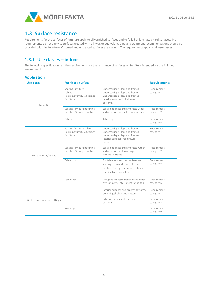

# <span id="page-19-0"></span>**1.3 Surface resistance**

Requirements for the surfaces of furniture apply to all varnished surfaces and to foiled or laminated hard surfaces. The requirements do not apply to surfaces treated with oil, wax or equivalent. Care and treatment recommendations should be provided with the furniture. Chromed and untreated surfaces are exempt. The requirements apply to all use classes.

## <span id="page-19-1"></span>**1.3.1 Use classes – indoor**

The following specification sets the requirements for the resistance of surfaces on furniture intended for use in indoor environments.

|  | <b>Application</b> |  |  |
|--|--------------------|--|--|
|  |                    |  |  |

| <b>Use class</b>              | <b>Furniture surface</b>                                                |                                                                                                                                                     | <b>Requirements</b>       |
|-------------------------------|-------------------------------------------------------------------------|-----------------------------------------------------------------------------------------------------------------------------------------------------|---------------------------|
| Domestic                      | Seating furniture<br>Tables<br>Reclining furniture Storage<br>furniture | Undercarriage - legs and frames<br>Undercarriage - legs and frames<br>Undercarriage - legs and frames<br>Interior surfaces incl. drawer<br>bottoms. | Requirement<br>category 1 |
|                               | Seating furniture Reclining<br>furniture Storage furniture              | Seats, backrests and arm rests Other<br>surfaces excl. bases External surfaces                                                                      | Requirement<br>category 2 |
|                               | Tables                                                                  | Table tops                                                                                                                                          | Requirement<br>category 4 |
|                               | Seating furniture Tables<br>Reclining furniture Storage<br>furniture    | Undercarriage - legs and frames<br>Undercarriage - legs and frames<br>Undercarriage - legs and frames<br>Interior surfaces incl. drawer<br>bottoms. | Requirement<br>category 1 |
| Non-domestic/offices          | Seating furniture Reclining<br>furniture Storage furniture              | Seats, backrests and arm rests Other<br>surfaces excl. undercarriages<br>External surfaces                                                          | Requirement<br>category 2 |
|                               | Table tops                                                              | For table tops such as conference,<br>waiting room and library. Refers to<br>the top. For e.g. restaurant, café and<br>training halls see below.    | Requirement<br>category 4 |
|                               | Table tops                                                              | Designed for restaurants, cafés, study<br>environments, etc. Refers to the top.                                                                     | Requirement<br>category 5 |
|                               |                                                                         | Interior surfaces and drawer bottoms,<br>excluding shelves and bottoms                                                                              | Requirement<br>category 1 |
| Kitchen and bathroom fittings |                                                                         | Exterior surfaces, shelves and<br>bottoms                                                                                                           | Requirement<br>category 3 |
|                               | Worktop                                                                 |                                                                                                                                                     | Requirement<br>category 6 |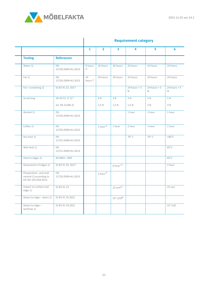

|                                                                         |                                 | <b>Requirement category</b> |                             |                                 |                               |                               |                               |
|-------------------------------------------------------------------------|---------------------------------|-----------------------------|-----------------------------|---------------------------------|-------------------------------|-------------------------------|-------------------------------|
|                                                                         |                                 | $\mathbf{1}$                | $\overline{2}$              | $\overline{\mathbf{3}}$         | 4                             | 5                             | 6                             |
| <b>Testing</b>                                                          | <b>References</b>               |                             |                             |                                 |                               |                               |                               |
| Water 1)                                                                | EN<br>12720:2009+A1:2013        | 6 hours<br>a)               | 16 hours                    | 16 hours                        | 24 hours                      | 24 hours                      | 24 hours                      |
| Fat 1)                                                                  | <b>EN</b><br>12720:2009+A1:2013 | 24<br>hours <sup>b)</sup>   | 24 hours                    | 24 hours                        | 24 hours                      | 24 hours                      | 24 hours                      |
| Fat + scratching 1)                                                     | SS 83 91 22: 2017               | $\bar{a}$                   | $\mathcal{L}_{\mathcal{A}}$ | $\bar{a}$                       | $24 hours + 3$<br>$\mathbb N$ | $24$ hours + 5<br>$\mathbb N$ | $24$ hours + 5<br>$\mathbb N$ |
| Scratching                                                              | SIS 83 91 17 2) <sup>C)</sup>   | $\frac{1}{2}$               | 3 N                         | 3 N                             | 3 N                           | 5 N                           | 5 N                           |
|                                                                         | alt. EN 151863)                 |                             | 1,5 N                       | 1,5 N                           | 1,5 N                         | 3 N                           | 3 N                           |
| Alcohol 1)                                                              | <b>EN</b><br>12720:2009+A1:2013 |                             | $\bar{a}$                   | $\overline{\phantom{a}}$        | 1 hour                        | 1 hour                        | 1 hour                        |
| Coffee 1)                                                               | <b>EN</b><br>12720:2009+A1:2013 |                             | 1 hour <sup>d)</sup>        | 1 hour                          | 1 hour                        | 1 hour                        | 1 hour                        |
| Dry heat 1)                                                             | <b>EN</b><br>12722:2009+A1:2013 |                             | $\bar{a}$                   | $\overline{\phantom{a}}$        | 70° C                         | 70°C                          | $180^{\circ}$ C               |
| Wet heat 1)                                                             | EN<br>12721:2009+A1:2013        |                             | $\bar{a}$                   | $\overline{\phantom{a}}$        | $\overline{\phantom{a}}$      |                               | 85°C                          |
| Heat to edges 1)                                                        | NS 8061: 1983                   | $\sim$                      | $\overline{\phantom{a}}$    | $\overline{\phantom{a}}$        | $\sim$                        | $\sim$                        | 85°C                          |
| Assessment of edges 1)                                                  | SS 83 91 20:2017                | $\overline{\phantom{a}}$    | $\bar{a}$                   | 6 hour e)                       | $\overline{\phantom{a}}$      | $\overline{\phantom{a}}$      | 1 hour                        |
| Perspiration-acid and<br>neutral 1) according to<br>EN ISO 105-E04:2013 | <b>EN</b><br>12720:2009+A1:2013 | $\sim$                      | 1 hour f)                   | $\overline{\phantom{a}}$        | $\bar{a}$                     | $\sim$                        | $\mathcal{L}$                 |
| Impact on surface and<br>edge 1)                                        | SS 83 91 23                     | $\bar{a}$                   | $\mathcal{L}$               | $25 \text{ mm}^{\text{e}}$      | $\overline{\phantom{a}}$      | $\sim$                        | 25 mm                         |
| Steam to edge - doors 1)                                                | SS 83 91 25:2021                | $\overline{\phantom{a}}$    | $\overline{\phantom{a}}$    | $55^{\circ}$ (±5) <sup>g)</sup> | $\overline{\phantom{a}}$      | $\overline{\phantom{a}}$      | $\bar{\phantom{a}}$           |
| Steam to edge -<br>worktop 1)                                           | SS 83 91 24:2021                | $\sim$                      | $\overline{\phantom{a}}$    | $\overline{\phantom{a}}$        | $\bar{a}$                     | $\bar{z}$                     | $55^{\circ} (\pm 5)$          |

## **Requirement category**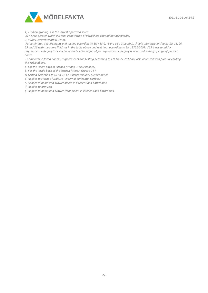

*1) = When grading, 4 is the lowest approved score.*

*2) = Max. scratch width 0.5 mm. Penetration of varnishing coating not acceptable.*

*3) = Max. scratch width 0.3 mm.*

*For laminates, requirements and testing according to EN 438-2, -3 are also accepted., should also include clauses 10, 16, 20, 25 and 26 with the same fluids as in the table above and wet heat according to EN 12721:2009. VGS is accepted for requirement category 1–5 level and level HGS is required for requirement category 6, level and testing of edge of finished board.*

*For melamine-faced boards, requirements and testing according to EN 14322:2017 are also accepted with fluids according the Table above.*

*a) For the inside back of kitchen fittings, 1 hour applies.*

*b) For the inside back of the kitchen fittings, Grease 24 h*

*c) Testing according to SS 83 91 17 is accepted until further notice*

*d) Applies to storage furniture - external horizontal surfaces*

*e) Applies to doors and drawer pieces in kitchens and bathrooms*

*f) Applies to arm rest*

*g) Applies to doors and drawer front pieces in kitchens and bathrooms*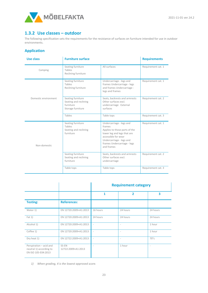

## <span id="page-22-0"></span>**1.3.2 Use classes – outdoor**

The following specification sets the requirements for the resistance of surfaces on furniture intended for use in outdoor environments.

#### **Application**

| <b>Use class</b>     | <b>Furniture surface</b>                                                     |                                                                                                                                                                                                    | <b>Requirements</b> |
|----------------------|------------------------------------------------------------------------------|----------------------------------------------------------------------------------------------------------------------------------------------------------------------------------------------------|---------------------|
| Camping              | Seating furniture<br>Tables<br>Reclining furniture                           | All surfaces                                                                                                                                                                                       | Requirement cat. 1  |
|                      | Seating furniture<br>Tables<br>Reclining furniture                           | Undercarriage - legs and<br>frames Undercarriage - legs<br>and frames Undercarriage -<br>legs and frames                                                                                           | Requirement cat. 1  |
| Domestic environment | Seating furniture<br>Seating and reclining<br>furniture<br>Storage furniture | Seats, backrests and armrests<br>Other surfaces excl.<br>undercarriage External<br>surfaces                                                                                                        | Requirement cat. 2  |
|                      | Tables                                                                       | Table tops                                                                                                                                                                                         | Requirement cat. 3  |
| Non-domestic         | Seating furniture<br>Tables<br>Seating and reclining<br>furniture            | Undercarriage - legs and<br>frames<br>Applies to those parts of the<br>lower leg and legs that are<br>accessible for wear<br>Undercarriage - legs and<br>frames Undercarriage - legs<br>and frames | Requirement cat. 1  |
|                      | Seating furniture<br>Seating and reclining<br>furniture                      | Seats, backrests and armrests<br>Other surfaces excl.<br>undercarriage                                                                                                                             | Requirement cat. 2  |
|                      | Table tops                                                                   | Table tops                                                                                                                                                                                         | Requirement cat. 3  |

|                                                                           |                             | <b>Requirement category</b> |                          |                          |
|---------------------------------------------------------------------------|-----------------------------|-----------------------------|--------------------------|--------------------------|
|                                                                           |                             | 1                           | $\overline{\phantom{a}}$ | 3                        |
| <b>Testing:</b>                                                           | <b>References:</b>          |                             |                          |                          |
| Water 1)                                                                  | EN 12720:2009+A1:2013       | 16 hours                    | 24 hours                 | 24 hours                 |
| Fat 1)                                                                    | EN 12720:2009+A1:2013       | 24 hours                    | 24 hours                 | 24 hours                 |
| Alcohol 1)                                                                | EN 12720:2009+A1:2013       | ÷                           | $\sim$                   | 1 hour                   |
| Coffee 1)                                                                 | EN 12720:2009+A1:2013       |                             |                          | 1 hour                   |
| Dry heat 1)                                                               | EN 12722:2009+A1:2013       | $\overline{\phantom{a}}$    | $\sim$                   | $70^{\circ}$ c           |
| Perspiration - acid and<br>neutral 1) according to<br>EN ISO 105-E04:2013 | SS-EN<br>12722:2009+A1:2013 |                             | 1 hour                   | $\overline{\phantom{a}}$ |

*1) When grading, 4 is the lowest approved score.*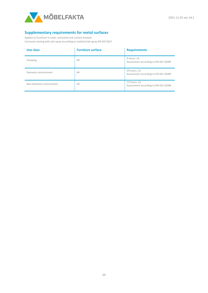

#### **Supplementary requirements for metal surfaces**

Applies to furniture in steel, untreated and surface-treated. Corrosion testing with salt spray according to method Salt spray EN-ISO 9227

| Use class                | <b>Furniture surface</b> | <b>Requirements</b>                                        |
|--------------------------|--------------------------|------------------------------------------------------------|
| Camping                  | AII                      | 6 hours, $\geq$ 5<br>Assessment according to EN-ISO 10289  |
| Domestic environment     | Al <sub>l</sub>          | 24 hours, $\geq$ 5<br>Assessment according to EN-ISO 10289 |
| Non-domestic environment | Al <sub>l</sub>          | 72 hours, $\geq$ 5<br>Assessment according to EN-ISO 10289 |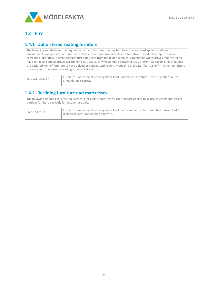

# <span id="page-24-0"></span>**1.4 Fire**

## <span id="page-24-1"></span>**1.4.1 Upholstered seating furniture**

The following standards set the requirements for upholstered seating furniture. The standard applies to all use environments except outdoor furniture explicitly for outdoor use only. As an alternative to a valid test report from an accredited laboratory, a certificate/product data sheet from the textile supplier is acceptable which proves that the textile has been tested and approved according to EN 1021:2014 with standard polyether (20-22 kg/m<sup>3</sup>) as padding. This requires the declared item of furniture to have polyether padding with a density equal to or greater than 22 kg/m<sup>3</sup>. Other upholstery materials must be tested according to current standards.

| EN 1021-1:2014* | Furniture – Assessment of the ignitability of upholstered furniture – Part 1: Ignition source:<br>Smouldering cigarette. |
|-----------------|--------------------------------------------------------------------------------------------------------------------------|
|                 |                                                                                                                          |

## <span id="page-24-2"></span>**1.4.2 Reclining furniture and mattresses**

| The following standard sets the requirements for beds or mattresses. The standard applies to all use environments except<br>outdoor furniture explicitly for outdoor use only. |                                                                                                                                         |  |  |  |
|--------------------------------------------------------------------------------------------------------------------------------------------------------------------------------|-----------------------------------------------------------------------------------------------------------------------------------------|--|--|--|
| EN 597-1:2016                                                                                                                                                                  | Furniture – Assessment of the ignitability of mattresses and upholstered bed bases – Part 1:<br>Ignition source: Smouldering cigarette. |  |  |  |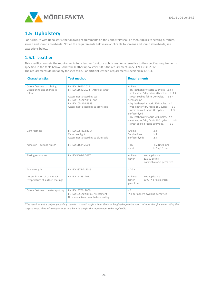

# <span id="page-25-0"></span>**1.5 Upholstery**

For furniture with upholstery, the following requirements on the upholstery shall be met. Applies to seating furniture, screen and sound absorbents. Not all the requirements below are applicable to screens and sound absorbents, see exceptions below.

## <span id="page-25-1"></span>**1.5.1 Leather**

This specification sets the requirements for a leather furniture upholstery. An alternative to the specified requirements specified in the table below is that the leather upholstery fulfils the requirements in SS-EN 13336:2012 The requirements do not apply for sheepskin. For artificial leather, requirements specified in 1.5.1.1.

| <b>Characteristics</b>                                            | <b>Test method</b>                                                                                                                                                            | <b>Requirements:</b>                                                                                                                                                                                                                                                                                                                                                                                                                                                                     |  |
|-------------------------------------------------------------------|-------------------------------------------------------------------------------------------------------------------------------------------------------------------------------|------------------------------------------------------------------------------------------------------------------------------------------------------------------------------------------------------------------------------------------------------------------------------------------------------------------------------------------------------------------------------------------------------------------------------------------------------------------------------------------|--|
| Colour fastness to rubbing<br>Decolouring and change in<br>colour | EN ISO 11640:2018<br>EN ISO 11641:2012 - Artificial sweat<br>Assessment according to:<br>EN ISO 105-A02:1993 and<br>EN ISO 105-A03:1993<br>Assessment according to grey scale | Aniline<br>- dry leather/dry fabric 50 cycles. ≥ 3-4<br>- wet leather/ dry fabric 20 cycles. ≥ 3-4<br>- sweat-soaked fabric 20 cycles. ≥ 3-4<br>Semi-aniline<br>- dry leather/dry fabric 500 cycles. $\geq 4$<br>- wet leather/ dry fabric 150 cycles.<br>$\geq$ 3<br>- sweat soaked fabric 80 cycles.<br>$\geq 3$<br>Surface-dyed<br>- dry leather/dry fabric 500 cycles. $\geq 4$<br>- wet leather/ dry fabric 250 cycles.<br>$\geq$ 3<br>- sweat soaked fabric 80 cycles.<br>$\geq$ 3 |  |
| Light fastness                                                    | EN ISO 105-B02:2014<br>Xenon arc light<br>Assessment according to blue scale                                                                                                  | Aniline<br>$\geq$ 3<br>Semi-aniline<br>$\geq$ 5<br>Surface-dyed:<br>$\geq$ 5                                                                                                                                                                                                                                                                                                                                                                                                             |  |
| Adhesion - surface finish*                                        | EN ISO 11644:2009                                                                                                                                                             | $\geq$ 2 N/10 mm<br>- dry<br>$\geq 2$ N/10 mm<br>- wet                                                                                                                                                                                                                                                                                                                                                                                                                                   |  |
| Flexing resistance                                                | EN ISO 5402-1:2017                                                                                                                                                            | Aniline:<br>Not applicable<br>20,000 cycles<br>Other:<br>No finish cracks permitted                                                                                                                                                                                                                                                                                                                                                                                                      |  |
| Tear strength                                                     | EN ISO 3377-2: 2016                                                                                                                                                           | $\geq 20$ N                                                                                                                                                                                                                                                                                                                                                                                                                                                                              |  |
| Determination of cold crack<br>temperature of surface coatings    | EN ISO 17233: 2017                                                                                                                                                            | Aniline:<br>Not applicable<br>Other:<br>10°C, No finish cracks<br>permitted.                                                                                                                                                                                                                                                                                                                                                                                                             |  |
| Colour fastness to water spotting                                 | EN ISO 15700: 2000<br>EN ISO 105-A02:1993. Assessment<br>No manual treatment before testing                                                                                   | $\geq 3$<br>No permanent swelling permitted                                                                                                                                                                                                                                                                                                                                                                                                                                              |  |

*\*The requirement is only applicable if there is a smooth surface layer that can be glued against a board without the glue penetrating the surface layer. The surface layer must also be > 15 μm for the requirement to be applicable.*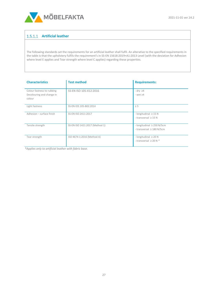

## **Artificial leather**

The following standards set the requirements for an artificial leather shall fulfil. An alterative to the specified requirements in the table is that the upholstery fulfils the requirement's in SS-EN 15618:2019+A1:2013 Level (with the deviation for Adhesion where level E applies and Tear strength where level C applies) regarding these properties.

| <b>Characteristics</b>                                            | <b>Test method</b>             | <b>Requirements:</b>                                              |
|-------------------------------------------------------------------|--------------------------------|-------------------------------------------------------------------|
| Colour fastness to rubbing<br>Decolouring and change in<br>colour | SS-EN ISO 105-X12:2016         | $-$ dry $\geq 4$<br>$-$ wet $\geq 4$                              |
| Light fastness                                                    | SS-EN IOS 105-B02:2014         | $\geq 5$                                                          |
| Adhesion - surface finish                                         | SS-EN ISO 2411:2017            | - longitudinal $\geq$ 15 N<br>- transversal $\geq$ 15 N           |
| Tensile strength                                                  | SS-EN ISO 1421:2017 (Method 1) | - longitudinal $\geq$ 250 N/5cm<br>- transversal $\geq$ 180 N/5cm |
| Tear strength                                                     | ISO 4674-1:2016 (Method A)     | - longitudinal $\geq 20$ N<br>- transversal $\geq$ 20 N $*$       |

*\*Applies only to artificial leather with fabric base.*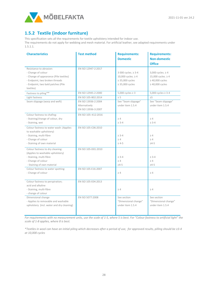

# <span id="page-27-0"></span>**1.5.2 Textile (indoor furniture)**

This specification sets all the requirements for textile upholstery intended for indoor use. The requirements do not apply for webbing and mesh material. For artificial leather, see adapted requirements under 1.5.1.1.

| <b>Characteristics</b>                    | <b>Test method</b>  | <b>Requirements:</b>    | <b>Requirements:</b>      |
|-------------------------------------------|---------------------|-------------------------|---------------------------|
|                                           |                     | <b>Domestic</b>         | <b>Non-domestic</b>       |
|                                           |                     |                         | <b>Office</b>             |
| Resistance to abrasion:                   | EN ISO 12947-2:2017 |                         |                           |
| - Change of colour                        |                     | 3 000 cycles. ≥ 3-4     | 3,000 cycles. $\geq 4$    |
| - Change of appearance (Pile textiles)    |                     | 10,000 cycles. $\geq 4$ | 15,000 cycles. $\geq 4$   |
| - Endpoint, two broken threads            |                     | $\geq$ 35,000 cycles    | $\geq 40,000$ cycles      |
| - Endpoint, two bald patches (Pile        |                     | $\geq$ 35,000 cycles    | $\geq 40,000$ cycles      |
| textiles)                                 |                     |                         |                           |
| Fastness to piling**                      | EN ISO 12945-2:2000 | 5,000 cycles $\geq 3$   | 5,000 cycles $\geq 3 - 4$ |
| Light fastness                            | EN ISO 105-B02:2014 | $\geq 5$                | $\geq 5$                  |
| Seam slippage (warp and weft)             | EN ISO 13936-2:2004 | See "Seam slippage"     | See "Seam slippage"       |
|                                           | Alternatively       | under item 1.5.4        | under item 1.5.4          |
|                                           | EN ISO 13936-3:2007 |                         |                           |
| Colour fastness to chafing:               | EN ISO 105-X12:2016 |                         |                           |
| - Staining/change of colour, dry          |                     | $\geq 4$                | $\geq 4$                  |
| - Staining, wet                           |                     | $\geq 3 - 4$            | $\geq 3 - 4$              |
| Colour fastness to water wash: (Applies   | EN ISO 105-C06:2010 |                         |                           |
| to washable upholstery)                   |                     |                         |                           |
| - Staining, multi-fibre                   |                     | $\geq 3 - 4$            | $\geq 4$                  |
| - Change of colour                        |                     | $\geq 4$                | $\geq 4$                  |
| - Staining of own material                |                     | $\geq 4 - 5$            | $\geq 4 - 5$              |
| Colour fastness to dry cleaning:          | EN ISO 105-D01:2010 |                         |                           |
| (Applies to washable upholstery)          |                     |                         |                           |
| - Staining, multi-fibre                   |                     | $\geq 3 - 4$            | $\geq 3 - 4$              |
| - Change of colour                        |                     | >4                      | >4                        |
| - Staining of own material                |                     | $\geq 4 - 5$            | $\geq 4 - 5$              |
| Colour fastness to water spotting:        | EN ISO 105-E16:2007 |                         |                           |
| - Change of colour                        |                     | $\geq 4$                | $\geq 4$                  |
|                                           |                     |                         |                           |
| Colour fastness to perspiration;          | EN ISO 105-E04:2013 |                         |                           |
| acid and alkaline                         |                     |                         |                           |
| - Staining, multi-fibre                   |                     | $\geq 4$                | $\geq 4$                  |
| - change of colour<br>Dimensional change  | EN ISO 5077:2008    | See section             | See section               |
| - Applies to removable and washable       |                     | "Dimensional change"    | "Dimensional change"      |
| upholstery (incl. water and dry cleaning) |                     | under item 1.5.4        | under item 1.5.4          |
|                                           |                     |                         |                           |
|                                           |                     |                         |                           |

*For requirements with no measurement units, use the scale of 1-5, where 5 is best. For "Colour fastness to artificial light" the scale of 1-8 applies, where 8 is best.* 

*\*Textiles in wool can have an initial piling which decreases after a period of use, for approved results, pilling should be ≥3-4 at 10,000 cycles*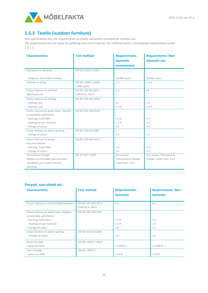

# <span id="page-28-0"></span>**1.5.3 Textile (outdoor furniture)**

This specification sets the requirements on textile upholstery intended for outdoor use.

The requirements do not apply for webbing and mesh material. For artificial leather, see adapted requirements under 1.5.1.1.

| <b>Characteristics</b>                  | <b>Test method</b>  | <b>Requirements:</b> | <b>Requirements: Non-</b> |
|-----------------------------------------|---------------------|----------------------|---------------------------|
|                                         |                     | <b>Domestic</b>      | domestic use              |
|                                         |                     | environment          |                           |
| Resistance to abrasion:                 | EN ISO 12947-2:2017 |                      |                           |
|                                         |                     |                      |                           |
| - Endpoint, two broken threads          |                     | 15,000 cycles        | 30,000 cycles             |
| Fastness to piling                      | EN ISO 12945-2:2000 | $\geq$ 3             | $\geq 3-4$                |
|                                         | 5,000 cycles        |                      |                           |
| Colour fastness to artificial           | EN ISO 105-B10:2011 | $\geq 4$             | $\geq 4$                  |
| light/exposure                          | method A, 500 h     |                      |                           |
| Colour fastness to chafing:             | EN ISO 105-X12:2002 |                      |                           |
| - Staining, dry                         |                     | $\geq 4$             | $\geq 4$                  |
| - Staining, wet                         |                     | $\geq 3-4$           | $\geq 3-4$                |
| Colour fastness to water wash: (Applies | EN ISO 105-C06:2010 |                      |                           |
| to washable upholstery)                 |                     |                      |                           |
| - Staining, multi-fibre                 |                     | $\geq 3 - 4$         | $\geq 4$                  |
| - Staining of own material              |                     | $\geq 3 - 4$         | $\geq 4$                  |
| - Change of colour                      |                     | $\geq 4$             | $\geq 4$                  |
| Colour fastness to water spotting:      | EN ISO 105-E16:2007 |                      |                           |
| - Change of colour                      |                     | $\geq 4$             | $\geq 4$                  |
| Colour fastness to sweat;               | EN ISO 105-E04:2013 |                      |                           |
| acid and alkaline                       |                     |                      |                           |
| - Staining, multi-fibre                 |                     | $\geq 4$             | $\geq 4$                  |
| - Change of colour                      |                     | $\geq 4$             | $\geq 4$                  |
| Dimensional change                      | EN ISO 5077:2008    | See section          | See section "Dimensional  |
| Applies to removable and washable       |                     | "Dimensional change" | change" under item 1.5.4  |
| upholstery (incl. water and dry         |                     | under item 1.5.4     |                           |
| cleaning)                               |                     |                      |                           |

#### **Parasol, sun-shield etc.**

| <b>Characteristics</b>                                                                                                                            | <b>Test method</b>                     | <b>Requirements:</b><br><b>Domestic</b>  | <b>Requirements: Non-</b><br>domestic |
|---------------------------------------------------------------------------------------------------------------------------------------------------|----------------------------------------|------------------------------------------|---------------------------------------|
| Colour fastness to artificial light/exposure                                                                                                      | EN ISO 105-B10:2011<br>method A, 500 h | $\geq 4$                                 | $\geq 4$                              |
| Colour fastness to water wash: (Applies<br>to washable upholstery)<br>- Staining, multi-fibre<br>- Staining of own material<br>- Change of colour | EN ISO 105-C06:2010                    | $\geq 3 - 4$<br>$\geq 3 - 4$<br>$\geq 4$ | $\geq 4$<br>$\geq 4$<br>$\geq 4$      |
| Colour fastness to water spotting:<br>- Change of colour                                                                                          | EN ISO 105-E16:2007                    | $\geq 4$                                 | $\geq 4$                              |
| Break strength:<br>- warp and weft                                                                                                                | EN ISO 13934-1:2013                    | $\geq 1,000$ N                           | $\geq 1,000$ N                        |
| Tear strength:<br>- warp and weft                                                                                                                 | EN ISO 13937-2                         | $\geq$ 35 N                              | $\geq$ 35 N                           |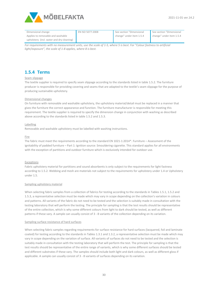

| Dimensional change                        | EN ISO 5077:2008 | See section "Dimensional | See section "Dimensional |
|-------------------------------------------|------------------|--------------------------|--------------------------|
| Applies to removable and washable         |                  | change" under item 1.5.4 | change" under item 1.5.4 |
| upholstery (incl. water and dry cleaning) |                  |                          |                          |

*For requirements with no measurement units, use the scale of 1-5, where 5 is best. For "Colour fastness to artificial light/exposure", the scale of 1-8 applies, where 8 is best.* 

## <span id="page-29-0"></span>**1.5.4 Terms**

#### Seam slippage

The textile supplier is required to specify seam slippage according to the standards listed in table 1.5.2. The furniture producer is responsible for providing covering and seams that are adapted to the textile's seam slippage for the purpose of producing sustainable upholstery.

#### Dimensional changes

On furniture with removable and washable upholstery, the upholstery material/detail must be replaced in a manner that gives the furniture the correct appearance and function. The furniture manufacturer is responsible for meeting this requirement. The textile supplier is required to specify the dimension change in conjunction with washing as described above according to the standards listed in table 1.5.2 and 1.5.3.

#### Labelling

Removable and washable upholstery must be labelled with washing instructions.

#### Fire

The fabric must meet the requirements according to the standard EN 1021-1:2014\*. Furniture – Assessment of the ignitability of padded furniture – Part 1: Ignition source: Smouldering cigarette. This standard applies for all environments with the exception of partitions and outdoor furniture which is exclusively intended for outdoor use.

#### Exceptions

Fabric upholstery material for partitions and sound absorbents is only subject to the requirements for light fastness according to 1.5.2. Webbing and mesh are materials not subject to the requirements for upholstery under 1.4 or Upholstery under 1.5.

#### Sampling upholstery material

When selecting fabric samples from a collection of fabrics for testing according to the standards in Tables 1.5.1, 1.5.2 and 1.5.3, a representative selection must be made which may vary in scope depending on the collection's variation in colours and patterns. All variants of the fabric do not need to be tested and the selection is suitably made in consultation with the testing laboratory that will perform the testing. The principle for sampling is that the test results should be representative of the entire collection, which is why some different colours from light to dark should be tested, as well as different patterns if these vary. A sample can usually consist of 3 - 8 variants of the collection depending on its variation.

#### Sampling surface resistance of hard surfaces

When selecting fabric samples regarding requirements for surface resistance for hard surfaces (lacquered, foil and laminate coated) for testing according to the standards in Tables 1.3.1 and 1.3.2, a representative selection must be made which may vary in scope depending on the variation of surface. All variants of surfaces do not need to be tested and the selection is suitably made in consultation with the testing laboratory that will perform the test. The principle for sampling is that the test results should be representative of the entire range of variants, which is why some different surfaces should be tested and different substrates if these vary. The samples should include both light and dark colours, as well as different gloss if applicable. A sample can usually consist of 3 - 8 variants of surfaces depending on its variation.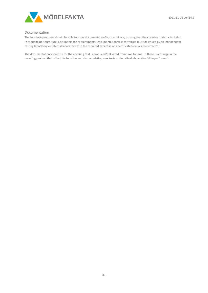

#### Documentation

The furniture producer should be able to show documentation/test certificate, proving that the covering material included in Möbelfakta's furniture label meets the requirements. Documentation/test certificate must be issued by an independent testing laboratory or internal laboratory with the required expertise or a certificate from a subcontractor.

The documentation should be for the covering that is produced/delivered from time to time. If there is a change in the covering product that affects its function and characteristics, new tests as described above should be performed.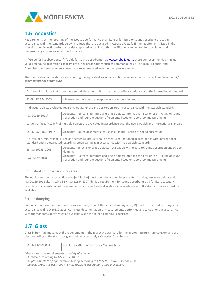

# <span id="page-31-0"></span>**1.6 Acoustics**

Requirements on the reporting of the acoustic performance of an item of furniture or sound absorbent are set in accordance with the standards below. Products that are declared in **Acoustic Facts** fulfil the requirements listed in the specification. Acoustic performance data reported according to this specification can be used for calculating and dimensioning a room's acoustic performance.

In "Guide för ljudabsorbenter" ("Guide for sound absorbents") a[t www.mobelfakta.se](http://www.mobelfakta.se/) there are recommended minimum values for sound absorption capacity. Procuring organisations such as Kammarkollegiet (The Legal, Financial and Administrative Services Agency) use these recommended levels in their procurements.

The specification is mandatory for reporting the equivalent sound absorption area for sound absorbents *but is optional for other categories of furniture.*

| An item of furniture that is used as a sound absorbing unit can be measured in accordance with the international standard:                                                                                              |                                                                                                                                                                                |  |
|-------------------------------------------------------------------------------------------------------------------------------------------------------------------------------------------------------------------------|--------------------------------------------------------------------------------------------------------------------------------------------------------------------------------|--|
| SS-EN ISO 354:2003                                                                                                                                                                                                      | Measurement of sound absorption in a reverberation room.                                                                                                                       |  |
| Individual objects evaluated regarding equivalent sound absorption area in accordance with the Swedish standard:                                                                                                        |                                                                                                                                                                                |  |
| ISO 20189:2018*                                                                                                                                                                                                         | Acoustics -- Screens, furniture and single objects intended for interior use -- Rating of sound<br>absorption and sound reduction of elements based on laboratory measurements |  |
| Larger surfaces (>10 $\text{m}^2$ ) of multiple objects are evaluated in accordance with the new Swedish and international standard:                                                                                    |                                                                                                                                                                                |  |
| SS-EN ISO 11654:1997                                                                                                                                                                                                    | Acoustics - Sound absorbents for use in buildings - Rating of sound absorption                                                                                                 |  |
| An item of furniture that is used as a screening-off unit shall be measured (optional) in accordance with international<br>standard and are evaluated regarding screen damping in accordance with the Swedish standard: |                                                                                                                                                                                |  |
| SS-ISO 10053: 2003                                                                                                                                                                                                      | Acoustics - Screens or single objects - evaluation with regard to sound absorption and screen<br>damping                                                                       |  |
| ISO 20189:2018                                                                                                                                                                                                          | Acoustics -- Screens, furniture and single objects intended for interior use -- Rating of sound<br>absorption and sound reduction of elements based on laboratory measurements |  |

#### Equivalent sound-absorption area

The equivalent sound-absorption area  $[m^2$  Sabine] must upon declaration be presented in a diagram in accordance with ISO 20189:2018 alternately SS-EN-ISO 11654:1997 This is a requirement for sound absorbents as a furniture category. Complete documentation of measurements performed and calculations in accordance with the standards above must be available.

#### Screen damping

For an item of furniture that is used as a screening-off unit the screen damping Δ Ls [dB] must be declared in a diagram in accordance with ISO 20189:2018. Complete documentation of measurements performed and calculations in accordance with the standards above must be available when the screen damping is declared.

# <span id="page-31-1"></span>**1.7 Glass**

Glass in furniture must meet the requirements in the respective standard for the appropriate furniture category and use class according to the standards given below. Alternately safety glass\* can be used.

SS-EN 14072:2003 Furniture – Glass in furniture – Test methods

*\*Glass meets the requirements on safety glass when:*

*- CE-marked according to 12150-2:2004 or*

*- the glass meets the fragmentation testing according to EN 12150-1:2015, section 8. or* 

*- the glass breaks as described in EN 12600:2003 according to type B or type C.*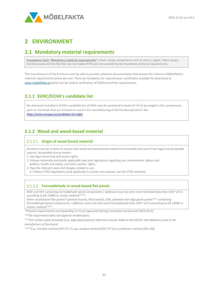

# <span id="page-32-0"></span>**2 ENVIRONMENT**

# <span id="page-32-1"></span>**2.1 Mandatory material requirements**

**Exemptions from "Mandatory material requirements":** Small, simple components such as Velcro, zipper, fabric straps, furniture pads and the like that are not made of PVC are not covered by the mandatory material requirements.

The manufacturer of the furniture must be able to provide collective documentation that proves the criteria in Möbelfakta's material requirements below are met. There are templates for subcontractor certificates available for download at [www.mobelfakta.se](http://www.mobelfakta.se/) which can be used as verification of fulfilment of the requirements.

## <span id="page-32-2"></span>**2.1.1 SVHC/ECHA's candidate list**

No chemicals included in ECHA's candidate list of SVHC may be contained in levels of >0.1% by weight in the components, parts or chemicals that are included or used in the manufacturing of the furniture/product. See <https://echa.europa.eu/candidate-list-table>

## <span id="page-32-3"></span>**2.1.2 Wood and wood-based material**

#### **Origin of wood-based material**

Routines must be in place to ensure that wood and wood based material are traceable and come from legal and acceptable sources. Acceptable source means:

- 1. Has legal ownership and access rights.
- 2. Follows nationally and locally applicable laws and regulations regarding use, environment, labour and welfare, health and safety, and other parties' rights.
- 3. Pays the relevant taxes and charges related to use.
	- 4. Follows CITES regulations (only applicable to certain tree species, see the CITES website).

#### **Formaldehyde in wood-based flat panels**

MDF and HDF containing formaldehyde based components / additives must not emit more formaldehyde than 65%\* of E1 according to EN 13986 or similar method\*\*\*\*.

Other wood-based flat panels\* (particle boards, fibre boards, OSB, plywood and edge glued panels\*\*\* containing formaldehyde based components / additives must not emit more formaldehyde than 50%\* of E1 according to EN 13986 or similar method\*\*\*\*

*\*Previous requirements corresponding to E1 are approved during a transition period until 2024-01-01*

*\*\*The requirement does not apply to molded parts.*

*\*\*\*For certain types of boards (e.g. edge glued panels) reference may be made to the SDS for the adhesives used in the manufacture of the board.*

*\*\*\*\*E.g. chamber method (EN-717-1), gas analysis method (EN-717-2) or perforator method (EN-120).*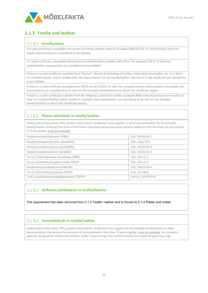

## <span id="page-33-0"></span>**2.1.3 Textile and leather**

#### **Certifications**

If a valid certificate is available that proves all textile complies with EU Ecolabel 2009/567/EC or 2014/350/EU, then the textile requirements are considered to be fulfilled.

If a valid certificate is available that proves all textile/leather complies with Oeko-Tex standard 100 (I, II) then the textile/leather requirements are considered to be fulfilled.

If there is a valid certificate available from "Svanen" (Nordic Ecolabelling of textiles, hides/skins and leather ver. 4 or later) for included leather and/or textiles then the requirements for the textile/leather referred to in the certificate are considered to be fulfilled.

If there is a valid certificate available from GOTS version 5/2017 or later for included textiles and/or leather is available, the requirements are considered to be met for the included textiles/leather to which the certificate applies.

If there is a valid certificate available from Bra Miljöval's criteria for textiles (category fiber and preparation) version 2012 or later for included textiles and/or leather is available, the requirements are considered to be met for the included textiles/leather to which the certificate applies.

## **Flame retardants in textile/leather**

Valid product data sheet, EPD, product information, certificate from supplier or other documentation for all included textile/leather verifying that none of the flame retardants below have been actively added or that the levels do not exceed 0.1% by weight, must be available.

| Polybrominated biphenyls (PBBs)              | CAS: 59536-65-1    |
|----------------------------------------------|--------------------|
| Decabromodiphenyl ether (dekaBDE)            | CAS: 1163-19-5     |
| Pentabromdiphenylether (pentaBDE)            | CAS: 32534-81-9    |
| Oktabromdiphenylether (oktaBDE)              | CAS: 32536-52-0    |
| Tris (2,3-dibrompropyl) phosphate (TBPP)     | CAS: 126-72-7      |
| Tris (1-aziridinyl) phosphine oxide (TEPA)   | CAS: 545-55-1      |
| Hexabromocyclododecane (HBCDD)               | CAS: 25637-99-4    |
| Tris (2 chlorethyl) phosphate (TCEP)         | CAS: 115-96-8      |
| Tris(1,3-dichloroisopropyl)phosphate (TDCPP) | CAS-nr: 13674-87-8 |

## **Softeners/phthalates in textile/leather**

The requirement has been removed from 2.1.3 Textile / leather and is moved to 2.1.4 Plastic and rubber

#### **Formaldehyde in textile/leather**

Valid product data sheet, EPD, product information, certificate from supplier for all included textile/leather or other documentation that proves the emission of formaldehyde is less than 75 ppm (mg/kg), must be available. For products specially designed for infants and children under 3 years of age, the content should not exceed 20 ppm (mg / kg).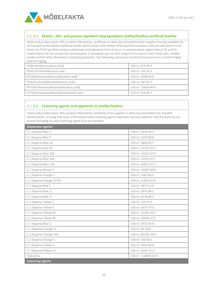

#### **Water-, dirt- and grease-repellent impregnations textile/leather/artificial leather**

Valid product data sheet, EPD, product information, certificate or other documentation from supplier must be available for all included textile/leather/artificial leather which proves that neither PFOA (perfluorooctanoic acid and salts/esters from them) nor PFOS (perfluorooctane sulphonate and pollutants from it) occur in concentrations higher than 0.1% and for coated fabrics do not exceed the concentration 1 microgram per m2 with respect to its anions, their metal salts, halides, amides and/or other derivatives (including polymers). The following substances should not be present in a content higher than 0.5 mg/kg.

| PFNA (Perfluorononane Acid)               | CAS-nr: 375-95-1   |
|-------------------------------------------|--------------------|
| PFDA (Perfluorodecanoic acid              | CAS-nr: 335-76-2   |
| PFUdA (henicosafluoroundecanoic acid)     | CAS-nr: 2058-94-8  |
| PFDoA (tricosafluorododecanoic acid)      | CAS-nr: 307-55-1   |
| PFTrDA (Pentacosafluorotridecanoic acid)  | CAS-nr: 72629-94-8 |
| PFTeDA (heptacosafluorotetradecanoic acid | CAS-nr: 376-06-7   |

## **Colouring agents and pigments in textile/leather**

Valid product data sheet, EPD, product information, certificate from supplier or other documentation for included textile/leather, proving that none of the below listed colouring agents have been actively added or that the levels do not exceed 50 mg/kg for each colouring agent must be available.

| <b>Dispersion agents</b>   |                     |
|----------------------------|---------------------|
| C.I. Disperse Blue 3       | CAS-nr: 2475-46-9   |
| C.I. Disperse Blue 7       | CAS-nr: 3179-90-6   |
| C.I. Disperse Blue 26      | CAS-nr: 3860-63-7   |
| C.I. Disperse Blue 35      | CAS-nr: 12222-75-2  |
| C.I. Disperse Blue 102     | CAS-nr: 12222-97-8  |
| C.I. Disperse Blue 106     | CAS-nr: 12223-01-7  |
| C.I. Disperse Blue 124     | CAS-nr: 61951-51-7  |
| C.I. Disperse Brown 1      | CAS-nr: 23355-64-8  |
| C.I. Disperse Orange 1     | CAS-nr: 2581-69-3   |
| C.I. Disperse Orange 37/76 | CAS-nr: 13301-61-6  |
| C.I. Disperse Red 1        | CAS-nr: 2872-52-8   |
| C.I. Disperse Red 11       | CAS-nr: 2872-48-2   |
| C.I. Disperse Red 17       | CAS-nr: 3179-89-3   |
| C.I. Disperse Yellow 1     | CAS-nr: 119-15-3    |
| C.I. Disperse Yellow 9     | CAS-nr: 6373-73-5   |
| C.I. Disperse Yellow 39    | CAS-nr: 12236-29-2  |
| C.I. Disperse Yellow 49    | CAS-nr: 54824-37-2  |
| C.I. Disperse Blue 1       | CAS-nr: 2475-45-8   |
| C.I. Disperse Orange 11    | CAS-nr: 82-28-0     |
| C.I. Disperse Orange 149   | CAS-nr: 85136-74-9  |
| C.I. Disperse Orange 3     | CAS-nr: 730-40-5    |
| C.I. Disperse Yellow 3     | CAS-nr: 2832-40-8   |
| C.I. Disperse Yellow 23    | CAS-nr: 6250-23-3   |
| Navy Blue                  | CAS-nr: 118685-33-9 |
| <b>Colouring agents</b>    |                     |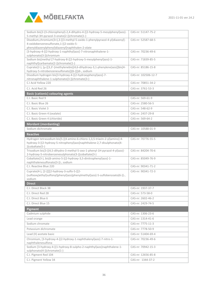

| Sodium bis[2-(3-chlorophenyl)-2,4-dihydro-4-[[2-hydroxy-5-mesylphenyl]azo]-                                                                                              | CAS-nr: 51147-75-2  |
|--------------------------------------------------------------------------------------------------------------------------------------------------------------------------|---------------------|
| 5-methyl-3H-pyrazol-3-onato(2-)]chromate(1-)<br>Disodium,chromium(3+),3-[(3-methyl-5-oxido-1-phenylpyrazol-4-yl)diazenyl]-                                               | CAS-nr: 52587-68-5  |
| 4-oxidobenzenesulfonate, 1-[(2-oxido-5-                                                                                                                                  |                     |
| phenyldiazenylphenyl)diazenyl]naphthalen-2-olate                                                                                                                         |                     |
| [3-hydroxy-4-[(2-hydroxy-1-naphthyl)azo]-7-nitronaphthalene-1-<br>sulphonato(3-)]chromium                                                                                | CAS-nr: 70236-49-6  |
| Sodium bis[methyl [7-hydroxy-8-[[2-hydroxy-5-mesylphenyl]azo]-1-<br>naphthyl]carbamato(2-)]chromate(1-)                                                                  | CAS-nr: 71839-85-5  |
| Cuprate(2-), [µ-[[3,3'-[methylenebis[(4,6-dihydroxy-3,1-phenylene)azo]]bis[4-<br>hydroxy-5-nitrobenzenesulfonato]](6-)]]di-, sodium                                      | CAS-nr: 85186-15-8  |
| Disodium hydrogen bis[3-hydroxy-4-[(2-hydroxyphenyl)azo]-7-<br>nitronaphthalene-1-sulphonato(3-)]chromate(3-)                                                            | CAS-nr: 102506-12-7 |
| C.I Acid Yellow 220                                                                                                                                                      | CAS-nr: 70851-34-2  |
| C.I. Acid Red 26                                                                                                                                                         | CAS-nr: 3761-53-3   |
| <b>Basic (cationic) colouring agents</b>                                                                                                                                 |                     |
| C.I. Basic Red 9                                                                                                                                                         | CAS-nr: 569-61-9    |
| C.I. Basic Blue 26                                                                                                                                                       | CAS-nr: 2580-56-5   |
| C.I. Basic Violet 3                                                                                                                                                      | CAS-nr: 548-62-9    |
|                                                                                                                                                                          | CAS-nr: 2437-29-8   |
| C.I. Basic Green 4 (oxalate)                                                                                                                                             |                     |
| C.I. Basic Green 4 (chloride)                                                                                                                                            | CAS-nr: 569-64-2    |
| <b>Mordant (mordanting)</b>                                                                                                                                              |                     |
| Sodium dichromate                                                                                                                                                        | CAS-nr: 10588-01-9  |
| <b>Reactive</b>                                                                                                                                                          |                     |
| Hydrogen tetrasodium bis[5-[(4-amino-6-chloro-1,3,5-triazin-2-yl)amino]-4-<br>hydroxy-3-[(2-hydroxy-5-nitrophenyl)azo]naphthalene-2,7-disulphonato(4-<br>)]cobaltate(5-) | CAS-nr: 70776-55-5  |
| Trisodium bis[3-[(4,5-dihydro-3-methyl-5-oxo-1-phenyl-1H-pyrazol-4-yl)azo]-<br>2-hydroxy-5-nitrobenzenesulphonato(3-)]cobaltate(3-)                                      | CAS-nr: 84204-70-6  |
| Cobaltate(3-), bis[6-amino-5-[(2-hydroxy-3,5-dinitrophenyl)azo]-1-<br>naphthalenesulfonato(3-)]-, sodium                                                                 | CAS-nr: 85049-76-9  |
| C.I. Reactive Blue 220                                                                                                                                                   | CAS-nr: 90341-71-2  |
| Cuprate(4-), [2-[[[[2-hydroxy-3-sulfo-5-[[2-                                                                                                                             | CAS-nr: 90341-72-3  |
| (sulfooxy)ethyl]sulfonyl]phenyl]azo]phenylmethyl]azo]-5-sulfobenzoato(6-)]-,<br>sodium                                                                                   |                     |
| <b>Direct</b>                                                                                                                                                            |                     |
| C.I. Direct Black 38                                                                                                                                                     | CAS-nr: 1937-37-7   |
|                                                                                                                                                                          |                     |
| C.I. Direct Red 28                                                                                                                                                       | CAS-nr: 573-58-0    |
| C.I. Direct Blue 6                                                                                                                                                       | CAS-nr: 2602-46-2   |
| C.I. Direct Blue 15                                                                                                                                                      | CAS-nr: 2429-74-5   |
| <b>Pigment</b>                                                                                                                                                           |                     |
| Cadmium sulphide                                                                                                                                                         | CAS-nr: 1306-23-6   |
| Lead orange                                                                                                                                                              | CAS-nr: 1314-41-6   |
| Sodium chromate                                                                                                                                                          | CAS-nr: 7775-11-3   |
| Potassium dichromate                                                                                                                                                     | CAS-nr: 7778-50-9   |
| Lead (II) acetate basic                                                                                                                                                  | CAS-nr: 51404-69-4  |
| Chromium, [3-hydroxy-4-[(2-hydroxy-1-naphthalenyl)azo]-7-nitro-1-<br>naphthalenesulfona                                                                                  | CAS-nr: 70236-49-6  |
| Sodium [3-hydroxy-4-[(1-hydroxy-8-sulpho-2-naphthyl)azo]naphthalene-1-<br>sulphonato(4-)]chromate(1-)                                                                    | CAS-nr: 70942-15-3  |
| C.I. Pigment Red 104                                                                                                                                                     | CAS-nr: 12656-85-8  |
| C.I. Pigment Yellow 34                                                                                                                                                   | CAS-nr: 1344-37-2   |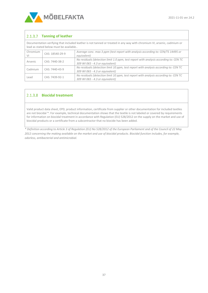

## 2.1.3.7 Tanning of leather

Documentation verifying that included leather is not tanned or treated in any way with chromium VI, arsenic, cadmium or lead as stated below must be available..

| Chromium<br>VI | CAS: 18540-29-9 | Average conc. max 3 ppm (test report with analysis according to: CEN/TS 14495 or<br>equivalent)                          |
|----------------|-----------------|--------------------------------------------------------------------------------------------------------------------------|
| Arsenic        | CAS: 7440-38-2  | No residuals (detection limit 1.0 ppm, test report with analysis according to: CEN TC<br>309 WI 065 - 4.3 or equivalent) |
| Cadmium        | CAS: 7440-43-9  | No residuals (detection limit 10 ppm, test report with analysis according to: CEN TC<br>309 WI 065 - 4.3 or equivalent)  |
| Lead           | CAS: 7439-92-1  | No residuals (detection limit 10 ppm, test report with analysis according to: CEN TC<br>309 WI 065 - 4.3 or equivalent)  |

## **Biocidal treatment**

Valid product data sheet, EPD, product information, certificate from supplier or other documentation for included textiles are not biocidal \*. For example, technical documentation shows that the textile is not labeled or covered by requirements for information on biocidal treatment in accordance with Regulation (EU) 528/2012 on the supply on the market and use of biocidal products or a certificate from a subcontractor that no biocide has been added.

*\* Definition according to Article 3 of Regulation (EU) No 528/2012 of the European Parliament and of the Council of 22 May 2012 concerning the making available on the market and use of biocidal products. Biocidal function includes, for example, odorless, antibacterial and antimicrobial.*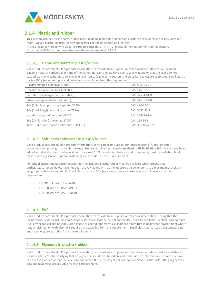

# <span id="page-37-0"></span>**2.1.4 Plastic and rubber**

This section includes plastic parts, rubber parts, padding materials that contain plastic (eg cellular plastic or polyurethane foam), woven plastic, artificial leather and plastic coating on textiles and leather.

Artificial leather marked with Oeko-Tex 100 (product class I, II, III, IV) meets all the requirements in this section. Note that artificial leather must also meet the requirements of 2.1.3.5.

## **Flame retardants in plastic/rubber**

Valid product data sheet, EPD, product information, certificate from supplier or other documentation for all included padding material verifying that none of the flame retardants below have been actively added or that the levels do not exceed 0.1% by weight, must be available. Electronics (e.g. electric motors and electrical cables) are exempted. Small plastic parts <100 g (eg screws, pins and fasteners) are excluded from this requirement.

| Polybrominated biphenyls (PBBs)              | CAS: 59536-65-1    |
|----------------------------------------------|--------------------|
| Decabromodiphenyl ether (dekaBDE)            | CAS: 1163-19-5     |
| Pentabromdiphenylether (pentaBDE)            | CAS: 32534-81-9    |
| Oktabromdiphenylether (oktaBDE)              | CAS: 32536-52-0    |
| Tris (2,3-dibrompropyl) phosphate (TBPP)     | CAS: 126-72-7      |
| Tris (1-aziridinyl) phosphine oxide (TEPA)   | CAS: 5455-55-1     |
| Hexabromocyclododecane (HBCDD)               | CAS: 25637-99-4    |
| Tris (2 chlorethyl) phosphate (TCEP)         | CAS: 115-96-8      |
| Tris(1,3-dichloroisopropyl)phosphate (TDCPP) | CAS-nr: 13674-87-8 |

## **Softeners/phthalates in plastic/rubber**

Valid product data sheet, EPD, product information, certificate from supplier for included plastic/rubber or other documentation proving that no phthalates/softeners classified as **hazard classification H340, H350, H360** have actively been added and that the measured level does not exceed 0.1% by weight/substance and component, must be available. Small plastic parts (eg screws, pins and fasteners) are excluded from this requirement.

For school environment, documentation for the included plastic/rubber must be available which proves that phthalates/softeners below have not been actively added or that the measured value amounts to a maximum of 0.1% by weight per substance and detail. Small plastic parts <100 g (eg screws, pins and fasteners) are not covered by the requirement.

- DNOP (CAS-nr: 117-84-0)
- DIDP (CAS-nr: 68515-49-1)
- DINP (CAS-nr: 68515-48-0)

## 2.1.4.3 PVC

Valid product data sheet, EPD, product information, certificate from supplier or other documentation proving that the included plastic parts including coated fabrics/artificial leather, do not contain PVC must be available. Electrical components (e.g. power cables) and hospital/urine textile or coated fabric/artificial leather on furniture in healthcare environment where regular disinfection with alcohol is required are excluded from this requirement. Small plastic parts <100 g (eg screws, pins and fasteners) are excluded from this requirement.

## **Pigments in plastics/rubber**

Valid product data sheet, EPD, product information, certificate from supplier or other documentation must be available for included plastic/rubber verifying that no pigments or additives based on lead, cadmium, tin, chromium VI or mercury have been actively added or that the levels do not exceed 0.01% by weight per component. Small plastic parts <100 g (eg screws, pins and fasteners) are excluded from this requirement.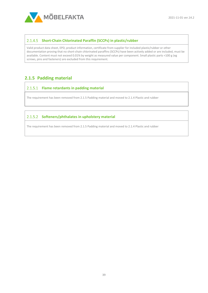

#### **Short-Chain Chlorinated Paraffin (SCCPs) in plastic/rubber**

Valid product data sheet, EPD, product information, certificate from supplier for included plastic/rubber or other documentation proving that no short-chain chlorinated paraffins (SCCPs) have been actively added or are included, must be available. Content must not exceed 0.01% by weight as measured value per component. Small plastic parts <100 g (eg screws, pins and fasteners) are excluded from this requirement.

# <span id="page-38-0"></span>**2.1.5 Padding material**

#### **Flame retardants in padding material**

The requirement has been removed from 2.1.5 Padding material and moved to 2.1.4 Plastic and rubber

#### **Softeners/phthalates in upholstery material**

The requirement has been removed from 2.1.5 Padding material and moved to 2.1.4 Plastic and rubber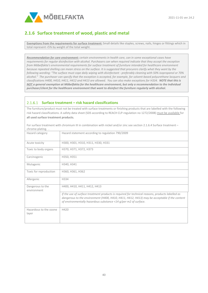

# <span id="page-39-0"></span>**2.1.6 Surface treatment of wood, plastic and metal**

**Exemptions from the requirements for surface treatment:** Small details like staples, screws, nails, hinges or fittings which in total represent <5% by weight of the total weight.

*Recommendation for care environment: certain environments in health care, can in some exceptional cases have requirements for regular disinfection with alcohol. Purchasers can when required indicate that they accept the exception from Möbelfakta's environmental requirements for surface treatment of furniture intended for healthcare environment because repeated shelling can mean stress on the surface. It is suggested that procurers clarify what they want by the following wording: "The surface must cope daily wiping with disinfectant - preferably cleaning with 50% isopropanol or 70% alcohol." The purchaser can specify that the exception is accepted, for example, for solvent-based polyurethane lacquers and classifications H400, H410, H411, H412 and H413 are allowed. You can also make exceptions for H334. NOTE that this is NOT a general exemption at Möbelfakta for the healthcare environment, but only a recommendation to the individual purchaser/client for the healthcare environment that want to disinfect the furniture regularly with alcohol.*

#### **Surface treatment – risk hazard classifications**

The furniture/product must not be treated with surface treatments or finishing products that are labelled with the following risk hazard classifications. A safety data sheet (SDS according to REACH CLP-regulation no 1272/2008) must be available for **all used surface treatment products.**

For surface treatment with chromium III in combination with nickel and/or zinc see section 2.1.6.4 Surface treatment – chrome-plating. .

| Hazard category                 | Hazard statement according to regulation 790/2009                                                                                                                                                                                                                   |
|---------------------------------|---------------------------------------------------------------------------------------------------------------------------------------------------------------------------------------------------------------------------------------------------------------------|
| Acute toxicity                  | H300, H301, H310, H311, H330, H331                                                                                                                                                                                                                                  |
| Toxic to body organs            | H370, H371, H372, H373                                                                                                                                                                                                                                              |
| Carcinogenic                    | H350, H351                                                                                                                                                                                                                                                          |
| Mutagenic                       | H340, H341                                                                                                                                                                                                                                                          |
| Toxic for reproduction          | H360, H361, H362                                                                                                                                                                                                                                                    |
| Allergenic                      | H334                                                                                                                                                                                                                                                                |
| Dangerous to the<br>environment | H400, H410, H411, H412, H413                                                                                                                                                                                                                                        |
|                                 | If the use of surface treatment products is required for technical reasons, products labelled as<br>dangerous to the environment (H400, H410, H411, H412, H413) may be acceptable if the content<br>of environmentally hazardous substance <14 g/per m2 of surface. |
| Hazardous to the ozone<br>layer | H420                                                                                                                                                                                                                                                                |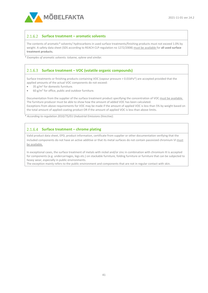

#### **Surface treatment – aromatic solvents**

The contents of aromatic*\** solvents/ hydrocarbons in used surface treatments/finishing products must not exceed 1.0% by weight. A safety data sheet (SDS according to REACH CLP-regulation no 1272/2008) must be available for **all used surface treatment products.**

*\* Examples of aromatic solvents: toluene, xylene and similar.*

#### **Surface treatment – VOC (volatile organic compounds)**

Surface treatments or finishing products containing VOC (vapour pressure > 0.01kPa\*) are accepted provided that the applied amounts of the actual VOC components do not exceed:

- 35  $g/m^2$  for domestic furniture.
- 60 g/m2 for office, public and outdoor furniture*.*

Documentation from the supplier of the surface treatment product specifying the concentration of VOC must be available. The furniture producer must be able to show how the amount of added VOC has been calculated. Exceptions from above requirements for VOC may be made if the amount of applied VOC is less than 5% by weight based on the total amount of applied coating product OR if the amount of applied VOC is less than above limits.

*\* According to regulation 2010/75/EU (Industrial Emissions Directive).* 

#### **Surface treatment – chrome plating**

Valid product data sheet, EPD, product information, certificate from supplier or other documentation verifying that the included components do not have an active additive or that its metal surfaces do not contain passivized chromium VI must be available.

In exceptional cases, the surface treatment of metals with nickel and/or zinc in combination with chromium III is accepted for components (e.g. undercarriages, legs etc.) on stackable furniture, folding furniture or furniture that can be subjected to heavy wear, especially in public environments.

The exception mainly refers to the public environment and components that are not in regular contact with skin.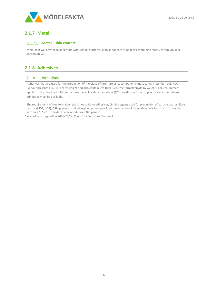

## <span id="page-41-0"></span>**2.1.7 Metal**

#### **Metal – skin contact**

Metal that will have regular contact with skin (e.g. armrests) must not consist of alloys containing nickel, chromium III or chromium VI.

# <span id="page-41-1"></span>**2.1.8 Adhesives**

#### 2.1.8.1 Adhesives

Adhesives that are used for the production of the piece of furniture or its components must contain less than 10% VOC (vapour pressure > 0,01kPa\*) by weight and also contain less than 0.2% free formaldehyde by weight. The requirement applies to the glue itself without hardener. A valid safety data sheet (SDS), certificate from supplier or similar for all used adhesives must be available.

The requirement of free formaldehyde is not valid for adhesives/binding agents used for production of particle boards, fibre boards (MDF, HDF), OSB, plywood and edge glued panels provided the emission of formaldehyde is less than as stated in section 2.1.2.2 "Formaldehyde in wood-based flat panels".

*\* According to regulation 2010/75/EU (Industrial Emissions Directive).*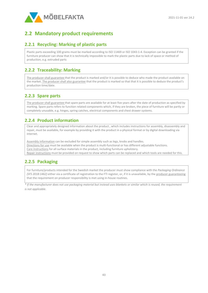

# <span id="page-42-0"></span>**2.2 Mandatory product requirements**

## <span id="page-42-1"></span>**2.2.1 Recycling: Marking of plastic parts**

Plastic parts exceeding 100 grams must be marked according to ISO 11469 or ISO 1043:1-4. Exception can be granted if the furniture producer can show that it is technically impossible to mark the plastic parts due to lack of space or method of production, e.g. extruded parts

# <span id="page-42-2"></span>**2.2.2 Traceability: Marking**

The producer shall guarantee that the product is marked and/or it is possible to deduce who made the product available on the market. The producer shall also guarantee that the product is marked so that that it is possible to deduce the product's production time/date.

# <span id="page-42-3"></span>**2.2.3 Spare parts**

The producer shall guarantee that spare parts are available for at least five years after the date of production as specified by marking. Spare parts refers to function related components which, if they are broken, the piece of furniture will be partly or completely unusable, e.g. hinges, spring catches, electrical components and chest drawer systems.

# <span id="page-42-4"></span>**2.2.4 Product information**

Clear and appropriately designed information about the product , which includes instructions for assembly, disassembly and repair, must be available, for example by providing it with the product in a physical format or by digital downloading via internet.

Assembly information can be excluded for simple assembly such as legs, knobs and handles.

Directions for use must be available when the product is multi-functional or has different adjustable functions.

Care instructions for all surface materials in the product, including furniture upholstery.

Repair instructions must be provided on request to show which parts can be replaced and which tools are needed for this.

# <span id="page-42-5"></span>**2.2.5 Packaging**

For furniture/products intended for the Swedish market the producer must show compliance with the *Packaging Ordinance (SFS 2018:1462)* either via a certificate of registration to the FTI register, or, if it is unavailable, by the producer guaranteeing that the requirement on producer responsibility is met using in-house routines.

*\* If the manufacturer does not use packaging material but instead uses blankets or similar which is reused, the requirement is not applicable.*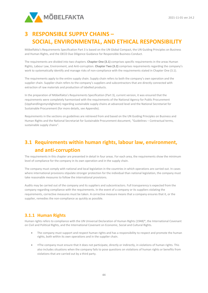

# <span id="page-43-0"></span>**3 RESPONSIBLE SUPPLY CHAINS – SOCIAL, ENVIRONMENTAL, AND ETHICAL RESPONSIBILITY**

Möbelfakta's Requirements Specification Part 3 is based on the UN Global Compact, the UN Guiding Principles on Business and Human Rights, and the OECD Due Diligence Guidance for Responsible Business Conduct.

The requirements are divided into two chapters. **Chapter One (3.1)** comprises specific requirements in the areas Human Rights, Labour Law, Environment, and Anti-corruption. **Chapter Two (3.2)** comprises requirements regarding the company's work to systematically identify and manage risks of non-compliance with the requirements stated in Chapter One (3.1).

The requirements apply to the entire supply chain. Supply chain refers to both the company's own operation and the supplier chain. Supplier chain refers to the company's suppliers and subcontractors that are directly connected with extraction of raw materials and production of labelled products.

In the preparation of Möbelfakta's Requirements Specification (Part 3), current version, it was ensured that the requirements were completely harmonised with the requirements of the National Agency for Public Procurement (Upphandlingsmyndigheten) regarding sustainable supply chains at advanced level and the National Secretariat for Sustainable Procurement (for more details, see Appendix).

Requirements in the sections on guidelines are retrieved from and based on the UN Guiding Principles on Business and Human Rights and the National Secretariat for Sustainable Procurement document, "Guidelines – Contractual terms, sustainable supply chains".

# <span id="page-43-1"></span>**3.1 Requirements within human rights, labour law, environment, and anti-corruption**

The requirements in this chapter are presented in detail in four areas. For each area, the requirements show the minimum level of compliance for the company in its own operation and in the supply chain.

The company must comply with national and local legislation in the countries in which operations are carried out. In cases where international provisions stipulate stronger protection for the individual than national legislation, the company must take reasonable measures to follow the international provisions.

Audits may be carried out of the company and its suppliers and subcontractors. Full transparency is expected from the company regarding compliance with the requirements. In the event of a company or its suppliers violating the requirements, corrective measures must be taken. A corrective measure means that a company ensures that it, or the supplier, remedies the non-compliance as quickly as possible.

# <span id="page-43-2"></span>**3.1.1 Human Rights**

Human rights refers to compliance with the UN Universal Declaration of Human Rights (1948)\*, the International Covenant on Civil and Political Rights, and the International Covenant on Economic, Social and Cultural Rights.

- The company must support and respect human rights and has a responsibility to respect and promote the human rights, both within its own operations and in the supplier chain.
- •The company must ensure that it does not participate, directly or indirectly, in violations of human rights. This also includes situations when the company fails to pose questions on violations of human rights or benefits from violations that are carried out by a third party.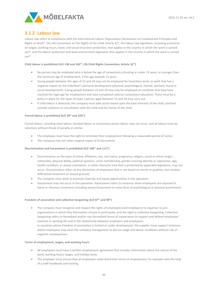

## <span id="page-44-0"></span>**3.1.2 Labour law**

Labour law refers to compliance with the International Labour Organisation Declaration on Fundamental Principles and Rights at Work\*, the UN Convention on the Rights of the Child, Article 32\*, the labour law legislation, including provisions on wages, working hours, leave, and social insurance protection, that applies in the country in which the work is carried out\*, and the labour protection and work environment legislation that applies in the country in which the work is carried out\*.

#### **Child labour is prohibited (ILO 138 and 182\*, UN Child Rights Convention, Article 32\*)**

- No person may be employed who is below the age of compulsory schooling or under 15 years, or younger than the minimum age of employment, if this age exceeds 15 years.
- Young people between the ages of 15 and 18 may not be employed for hazardous work, or work that has a negative impact on the individual's personal development (physical, psychological, mental, spiritual, moral or social development). Young people between 15 and 18 may only be employed on condition that they have reached the legal age for employment and have completed national compulsory education. There must be a policy in place for the types of tasks a person aged between 15 and 18 may carry out.
- If child labour is detected, the company must take action based upon the best interests of the child, and find suitable solutions in consultation with the child and the family of the child.

#### **Forced labour is prohibited (ILO 29\* and 105\*)**

Forced labour, including slave labour, bonded labour or involuntary prison labour may not occur, and all labour must be voluntary without threat of penalty or similar.

- The employee must have the right to terminate their employment following a reasonable period of notice.
- The company may not retain original copies of ID documents.

#### **Discrimination and harassment is prohibited (ILO 100\* and 111\*)**

- Discrimination on the basis of ethnic affiliation, sex, civil status, pregnancy, religion, social or ethnic origin, nationality, physical ability, political opinions, union membership, gender-crossing identity or expression, age, health condition, or sexual orientation, or other character trait that is protected by applicable legislation, may not occur. Discrimination refers to any distinction of employees that is not based on merits or qualities, but involves differential treatment on biased grounds.
- The company must work to promote diversity and equal opportunities in the operation.
- Harassment may not occur in the operation. Harassment refers to instances when employees are exposed to harsh or inhuman treatment, including sexual harassment or some form of psychological or physical punishment.

#### **Freedom of association and collective bargaining (ILO 87\* and 98\*)**

• The company must recognise and respect the rights of employees (and employers) to organise, to join organisations in which they themselves choose to participate, and the right to collective bargaining. Collective bargaining refers to formalised and/or non-formalised forms of cooperation to support and defend employees' interests in working life and in the relationship between employers and employees. In countries where freedom of association is limited or under development, the supplier must support instances where employees may meet the company management to discuss wage and labour conditions without risk of negative consequences.

#### **Terms of employment, wages, and working hours**

- All employees must have a written employment agreement that includes information about the nature of the work, working hours, wages, and holiday leave.
- The employer must ensure that all employees understand their terms of employment, for example with the help of a staff handbook and training.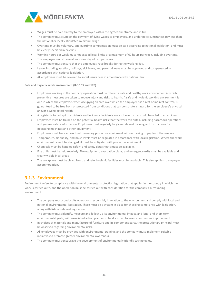

- Wages must be paid directly to the employee within the agreed timeframe and in full.
- The company must support the payment of living wages to employees, and under no circumstances pay less than the national or locally stipulated minimum wage.
- Overtime must be voluntary, and overtime compensation must be paid according to national legislation, and must be clearly specified in payslips.
- Working hours per week must not exceed legal limits or a maximum of 60 hours per week, including overtime.
- The employees must have at least one day of rest per week.
- The company must ensure that the employees have breaks during the working day.
- Leave, including vacation, holidays, sick leave, and parental leave must be approved and compensated in accordance with national legislation.
- All employees must be covered by social insurances in accordance with national law.

#### **Safe and hygienic work environment (ILO 155 and 170)**

- Employees working in the company operation must be offered a safe and healthy work environment in which preventive measures are taken to reduce injury and risks to health. A safe and hygienic working environment is one in which the employee, when occupying an area over which the employer has direct or indirect control, is guaranteed to be free from or protected from conditions that can constitute a hazard for the employee's physical and/or psychological health.
- A register is to be kept of accidents and incidents. Incidents are such events that could have led to an accident.
- Employees must be trained on the potential health risks that the work can entail, including hazardous operations and general safety information. Employees must regularly be given relevant training and instructions for operating machines and other equipment.
- Employees must have access to all necessary protective equipment without having to pay for it themselves.
- Temperature, air quality, and noise levels must be regulated in accordance with local legislation. Where the work environment cannot be changed, it must be mitigated with protective equipment.
- Chemicals must be handled safely, and safety data sheets must be available.
- Fire drills must be held regularly. Fire equipment, evacuation plans, and emergency exits must be available and clearly visible in all areas.
- The workplace must be clean, fresh, and safe. Hygienic facilities must be available. This also applies to employee accommodation.

# <span id="page-45-0"></span>**3.1.3 Environment**

Environment refers to compliance with the environmental protection legislation that applies in the country in which the work is carried out\*, and the operation must be carried out with consideration for the company's surrounding environment.

- The company must conduct its operations responsibly in relation to the environment and comply with local and national environmental legislation. There must be a system in place for checking compliance with legislation, along with lists of relevant legislation.
- The company must identify, measure and follow-up its environmental impact, and long- and short-term environmental goals, with associated action plan, must be drawn up to ensure continuous improvement.
- In choices of materials and manufacture of furniture and its component parts, the precautionary principal must be observed regarding environmental risks.
- All employees must be provided with environmental training, and the company must implement suitable initiatives to promote greater environmental awareness.
- The company must encourage the development of environmentally friendly technologies.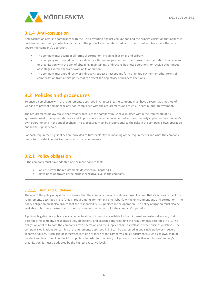

## <span id="page-46-0"></span>**3.1.4 Anti-corruption**

Anti-corruption refers to compliance with the UN Convention Against Corruption\* and the bribery legislation that applies in Sweden, in the country in which all or parts of the product are manufactured, and other countries' laws that otherwise govern the company's operation.

- The company must combat all forms of corruption, including blackmail and bribery.
- The company must not, directly or indirectly, offer undue payment or other forms of compensation to any person or organisation with the aim of obtaining, maintaining, or directing business operations, or receive other undue advantages within the framework of its operation.
- The company must not, directly or indirectly, request or accept any form of undue payment or other forms of compensation from a third party that can affect the objectivity of business decisions.

# <span id="page-46-1"></span>**3.2 Policies and procedures**

To ensure compliance with the requirements described in Chapter 3.1, the company must have a systematic method of working to prevent and manage any non-compliance with the requirements and to ensure continuous improvement.

The requirements below make clear what procedures the company must have in place within the framework of its systematic work. The systematic work and its procedures must be documented and continuously applied in the company's own operation and in the supplier chain. The procedures must be proportional to the risks in the company's own operation and in the supplier chain.

For each requirement, guidelines are provided to further clarify the meaning of the requirements and what the company needs to consider in order to comply with the requirements

## <span id="page-46-2"></span>**3.2.1 Policy obligation**

The company must have adopted one or more policies that:

- at least cover the requirements described in Chapter 3.1,
- have been approved at the highest executive level in the company.

#### **Aim and guidelines**

The aim of the policy obligation is to ensure that the company is aware of its responsibility, and that its actions respect the requirements described in 3.1 (that is, requirements for human rights, labor law, the environment and anti-corruption). The policy obligation must also ensure that the responsibility is supported in the operation. The policy obligation must also be available to business partners and other stakeholders connected with the company's operation.

A policy obligation is a publicly available declaration of intent (i.e. available for both internal and external actors), that describes the company's responsibilities, obligations, and expectations regarding the requirements described in 3.1. The obligation applies to both the company's own operation and the supplier chain, as well as in other business relations. The company's obligations concerning the requirements described in 3.1 can be expressed in one single policy or in several separate policies. It can also be integrated into one or more of the company's policy documents, such as its own code of conduct and in a code of conduct for suppliers. In order for the policy obligation to be effective within the company's organisation, it must be adopted by the highest executive level.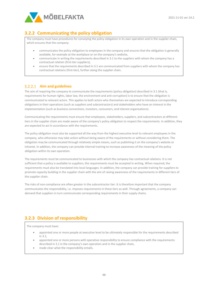

# <span id="page-47-0"></span>**3.2.2 Communicating the policy obligation**

The company must have procedures for conveying the policy obligation in its own operation and in the supplier chain, which ensures that the company:

- communicates the policy obligation to employees in the company and ensures that the obligation is generally available, for example at the workplace or on the company's website,
- communicate in writing the requirements described in 3.1 to the suppliers with whom the company has a contractual relation (first-tier suppliers),
- ensure that the requirements described in 3.1 are communicated from suppliers with whom the company has contractual relations (first-tier), further along the supplier chain.

#### **Aim and guidelines**

The aim of requiring the company to communicate the requirements (policy obligation) described in 3.1 (that is, requirements for human rights, labor law, the environment and anti-corruption) is to ensure that the obligation is communicated to relevant actors. This applies to both actors who themselves are expected to introduce corresponding obligations in their operations (such as suppliers and subcontractors) and stakeholders who have an interest in the implementation (such as business connections, investors, consumers, and interest organisations).

Communicating the requirements must ensure that employees, stakeholders, suppliers, and subcontractors at different tiers in the supplier chain are made aware of the company's policy obligation to respect the requirements. In addition, they are expected to act in accordance with the requirements.

The policy obligation must also be supported all the way from the highest executive level to relevant employees in the company, who otherwise may take action without being aware of the requirements or without considering them. The obligation may be communicated through relatively simple means, such as publishing it on the company's website or intranet. In addition, the company can provide internal training to increase awareness of the meaning of the policy obligation within its own operation.

The requirements must be communicated to businesses with which the company has contractual relations. It is not sufficient that a policy is available to suppliers; the requirements must be accepted in writing. When required, the requirements must also be translated into local languages. In addition, the company can provide training for suppliers to promote capacity building in the supplier chain with the aim of raising awareness of the requirements in different tiers of the supplier chain.

The risks of non-compliance are often greater in the subcontractor tier. It is therefore important that the company communicates the responsibility, i.e. imposes requirements in these tiers as well. Through agreements, a company can demand that suppliers in turn communicate corresponding requirements in their supply chains.

## <span id="page-47-1"></span>**3.2.3 Division of responsibility**

The company must have:

- appointed one or more people at executive level to be ultimately responsible for the requirements described in 3.1,
- appointed one or more persons with operative responsibility to ensure compliance with the requirements described in 3.1 in the company's own operation and in the supplier chain,
- made clear what the responsibility entails.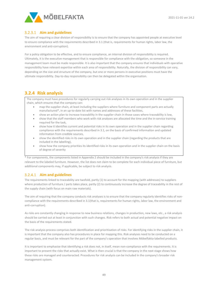

#### **Aim and guidelines**

The aim of requiring a clear division of responsibility is to ensure that the company has appointed people at executive level to ensure compliance with the requirements described in 3.1 (that is, requirements for human rights, labor law, the environment and anti-corruption).

For a policy obligation to be effective, and to ensure compliance, an internal division of responsibility is required. Ultimately, it is the executive management that is responsible for compliance with the obligation, so someone in the management team must be made responsible. It is also important that the company ensures that individuals with operative responsibility have relevant expertise within each area of responsibility. Naturally, the division of responsibility can vary, depending on the size and structure of the company, but one or more persons in executive positions must have the ultimate responsibility. Day-to-day responsibility can then be delegated within the organisation.

## <span id="page-48-0"></span>**3.2.4 Risk analysis**

The company must have procedures for regularly carrying out risk analyses in its own operation and in the supplier chain, which ensures that the company can:

- map the supplier chain, at least including the suppliers where furniture and component parts are actually manufactured\*, in an up-to-date list with names and addresses of these facilities,
- show an action plan to increase traceability in the supplier chain in those cases where traceability is low,
- show that the staff members who work with risk analyses are allocated the time and the in-service training required for the task,
- show how it identifies current and potential risks in its own operation and in the supplier chain regarding compliance with the requirements described in 3.1, on the basis of confirmed information and updated information from credible sources,
- show the identified risks in its own operation and in the supplier chain (regarding the products that are included in the labelling),
- show how the company priorities its identified risks in its own operation and in the supplier chain on the basis of degree of severity

\* For components, the components listed in Appendix 2 should be included in the company's risk analysis if they are relevant to the labeled furniture. However, the list does not claim to be complete for each individual piece of furniture, but additional components may, if applicable, be subject to risk analysis.

#### **Aim and guidelines**

The requirements linked to traceability are twofold, partly (1) to account for the mapping (with addresses) to suppliers where production of furniture / parts takes place, partly (2) to continuously increase the degree of traceability in the rest of the supply chain (with focus on main raw materials).

The aim of requiring that the company conducts risk analyses is to ensure that the company regularly identifies risks of noncompliance with the requirements described in 3.1(that is, requirements for human rights, labor law, the environment and anti-corruption).

As risks are constantly changing in response to new business relations, changes in production, new laws, etc., a risk analysis should be carried out at least in conjunction with such changes. Risk refers to both actual and potential negative impact on the basis of the requirements stated.

The risk analysis process comprises both identification and prioritisation of risks. For identifying risks in the supplier chain, it is important that the company also has procedures in place for mapping this. Risk analyses need to be conducted on a regular basis, and must be relevant for the part of the company's operation that involves Möbelfakta-labelled products.

It is important to emphasise that identifying a risk does not, in itself, mean non-compliance with the requirements. It is important to present the risks that actually exist. What is then crucial is that the company in the next stage shows how these risks are managed and counteracted. Procedures for risk analysis can be included in the company's broader risk management system.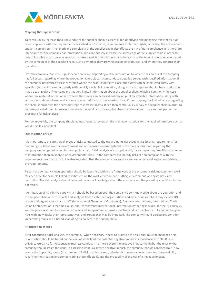

#### **Mapping the supplier chain**

To continuously increase their knowledge of the supplier chain is essential for identifying and managing relevant risks of non-compliance with the requirements described in 3.1 (that is, requirements for human rights, labor law, the environment and anti-corruption). The length and complexity of the supplier chain also affects the risk of non-compliance. It is therefore important that the company has information, and continuously increase the knowledge of the supplier chain in order to determine what measures may need to be introduced. It is also important to be aware of the type of operation conducted by the companies in the supplier chain, such as whether they are wholesalers or producers, and where they conduct their operations.

How the company maps the supplier chain can vary, depending on the information to which it has access. If the company has full access regarding where the production takes place, it can conduct a detailed survey with specified information. If the company has limited access regarding where the production takes place, the survey can be conducted partly with specified (actual) information, partly with publicly available information, along with assumptions about where production may be taking place If the company has very limited information about the supplier chain, which is commonly the case where raw material extraction is involved, the survey can be based entirely on publicly available information, along with assumptions about where production or raw material extraction is taking place. If the company has limited access regarding the chain, it must take the necessary steps to increase access. It can then continuously survey the supplier chain in order to confirm potential risks. A process to increase traceability in the supplier chain therefore comprises a natural part of the procedure for risk analysis.

For raw materials, the company should at least focus its review on the main raw materials for the labelled furniture, such as wood, textiles, and steel.

#### **Identification of risks**

It is important to ensure that all types of risks connected to the requirements described in 3.1 (that is, requirements for human rights, labor law, the environment and anti-corruption)are captured in the risk analysis, both regarding the company's own operation and in the supplier chain. A risk analysis of corruption will, for example, require different sources of information than an analysis of environmental risks. To the company can identify risks of non-compliance with the requirements described in 3.1, it is also important that the company has good awareness of national legislation relating to the requirements.

Risks in the company's own operation should be identified within the framework of the systematic risk management work for each area, for example linked to initiatives on the work environment, staffing, environment, and systematic anticorruption. The risk analysis should be based on actual knowledge about the company and the prevailing conditions in the operation.

Identification of risks in the supply chain should be based on both the company's own knowledge about the operation and the supplier chain and on reports and analyses from established organisations and expert bodies. These may include UN bodies and organisations such as ICC (International Chamber of Commerce), Amnesty International, International Trade Union Confederation, Freedom House, and Transparency International. Information gathering is crucial for the risk analysis, and the process should be based on internal and independent external expertise, and can involve consultation on tangible risks with individuals, their representatives, and groups that may be impacted. The company should particularly consider vulnerable groups and a broad span of rights holders in the supply chain.

#### **Prioritisation of risks**

After conducting a risk analysis, the company, when necessary, needs to prioritise the risks that must be managed first. Prioritisation should be based on the level of severity of the potential negative impact in accordance with OECD Due Diligence Guidance for Responsible Business Conduct. The more severe the negative impact, the higher the priority the company should assign the issue. In assessing what is a severe negative impact, the company should consider scale (how severe the impact is), scope (the number of individuals impacted), whether it is irrevocable in character (the possibility of rectifying the situation and compensating those affected), and the probability of the risk of a negative impact.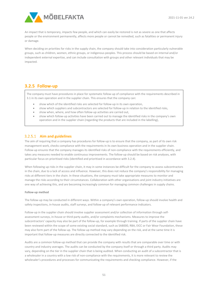

An impact that is temporary, impacts few people, and which can easily be restored is not as severe as one that affects people or the environment permanently, affects more people or cannot be remedied, such as fatalities or permanent injury or damage.

When deciding on priorities for risks in the supply chain, the company should take into consideration particularly vulnerable groups, such as children, women, ethnic groups, or indigenous peoples. This process should be based on internal and/or independent external expertise, and can include consultation with groups and other relevant individuals that may be impacted.

## <span id="page-50-0"></span>**3.2.5 Follow-up**

The company must have procedures in place for systematic follow-up of compliance with the requirements described in 3.1 in its own operation and in the supplier chain. This ensures that the company can:

- show which of the identified risks are selected for follow-up in its own operation,
- show which suppliers and subcontractors are selected for follow-up in relation to the identified risks,
- show when, where, and how often follow-up activities are carried out,
- show which follow-up activities have been carried out to manage the identified risks in the company's own operation and in the supplier chain (regarding the products that are included in the labelling),

#### **Aim and guidelines**

The aim of requiring that a company has procedures for follow-up is to ensure that the company, as part of its own risk management work, checks compliance with the requirements in its own business operation and in the supplier chain. Follow-up ensures that the company manages its identified risks of non-compliance with the requirements efficiently, and takes any measures needed to enable continuous improvements. The follow-up should be based on risk analyses, with particular focus on prioritised risks (identified and prioritised in accordance with 3.2.4).

When following up risks in the supplier chain, it may in some instances be difficult for the company to assess subcontractors in the chain, due to a lack of access and influence. However, this does not reduce the company's responsibility for managing risks at different tiers in the chain. In these situations, the company must take appropriate measures to monitor and manage the risks according to their circumstances. Collaboration with other organisations and joint industry initiatives are one way of achieving this, and are becoming increasingly common for managing common challenges in supply chains.

#### **Follow-up method**

The follow-up may be conducted in different ways. Within a company's own operation, follow-up should involve health and safety inspections, in-house audits, staff surveys, and follow-up of relevant performance indicators.

Follow-up in the supplier chain should involve supplier assessment and/or collection of information through selfassessment surveys, in-house or third-party audits, and/or complaints mechanisms. Measures to improve the subcontractors' capacity may also be part of the follow-up, for example through training. If parts of the supplier chain have been reviewed within the scope of some existing social standard, such as SA8000, RBA, EICC or Fair Wear Foundation, these may also form part of the follow-up. The follow-up method may vary depending on the risk, and at the same time it is important that follow-up measures are directly connected to the identified risk.

Audits are a common follow-up method that can provide the company with results that are comparable over time or with country and industry averages. The audits can be conducted by the company itself or through a third party. Audits may vary, depending on the tier in the supplier chain that is being audited. When conducting an audit of a subcontractor that is a wholesaler in a country with a low risk of non-compliance with the requirements, it is more relevant to review the wholesaler's procedures and processes for communicating the requirements and checking compliance. However, if the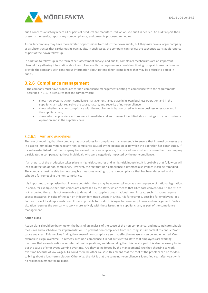

audit concerns a factory where all or parts of products are manufactured, an on-site audit is needed. An audit report then presents the results, reports any non-compliance, and presents proposed remedies.

A smaller company may have more limited opportunities to conduct their own audits, but they may have a larger company as a subcontractor that carries out its own audits. In such cases, the company can review the subcontractor's audit reports as part of their own follow-up.

In addition to follow-up in the form of self-assessment surveys and audits, complaints mechanisms are an important channel for gathering information about compliance with the requirements. Well-functioning complaints mechanisms can provide the company with continuous information about potential non-compliances that may be difficult to detect in audits.

## <span id="page-51-0"></span>**3.2.6 Compliance management**

The company must have procedures for non-compliance management relating to compliance with the requirements described in 3.1. This ensures that the company can:

- show how systematic non-compliance management takes place in its own business operation and in the supplier chain with regard to the cause, nature, and severity of non-compliance,
- show whether any non-compliance with the requirements has occurred in its own business operation and in the supplier chain,
- show which appropriate actions were immediately taken to correct identified shortcomings in its own business operation and in the supplier chain.

#### 3.2.6.1 Aim and guidelines

The aim of requiring that the company has procedures for compliance management is to ensure that internal processes are in place to immediately manage any non-compliance caused by the operation or to which the operation has contributed. If it can be established that the company has caused the non-compliance, the procedures must also ensure that the company participates in compensating those individuals who were negatively impacted by the non-compliance.

If all or parts of the production takes place in high-risk countries and in high-risk industries, it is probable that follow-up will lead to detection of non-compliance. However, the fact that non-compliance is detected also implies it can be remedied. The company must be able to show tangible measures relating to the non-compliance that has been detected, and a schedule for remedying the non-compliance.

It is important to emphasise that, in some countries, there may be non-compliance as a consequence of national legislation. In China, for example, the trade unions are controlled by the state, which means that ILO's core conventions 87 and 98 are not respected there. It is not reasonable to demand that suppliers break national laws; instead, such situations require special measures. In spite of the ban on independent trade unions in China, it is for example, possible for employees at a factory to elect local representatives. It is also possible to conduct dialogue between employees and management. Such a situation requires the company to work more actively with these issues in its supplier chain, as part of the compliance management.

#### **Action plans**

Action plans should be drawn up on the basis of an analysis of the cause of the non-compliance, and must indicate suitable measures and a schedule for implementation. To prevent non-compliance from recurring, it is important to conduct 'root cause analyses'. This involves finding the cause of non-compliance so that effective measures can be implemented. One example is illegal overtime. To remedy such non-compliance it is not sufficient to state that employees are working overtime that exceeds national or international regulations, and demanding that this be stopped. It is also necessary to find out the cause of employees working overtime. Are they being forced by the management? Are they choosing to work overtime because of low wages? Or could there be other causes? This means that the root of the problem can be tackled, to bring about a long-term solution. Otherwise, the risk is that the same non-compliance is identified year after year, with no real improvement taking place.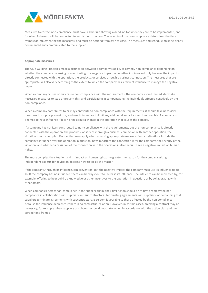

Measures to correct non-compliance must have a schedule showing a deadline for when they are to be implemented, and for when follow-up will be conducted to verify the correction. The severity of the non-compliance determines the time frames for implementing the measures, and must be decided from case to case. The measures and schedule must be clearly documented and communicated to the supplier.

#### **Appropriate measures**

The UN's Guiding Principles make a distinction between a company's ability to remedy non-compliance depending on whether the company is causing or contributing to a negative impact, or whether it is involved only because the impact is directly connected with the operation, the products, or services through a business connection. The measures that are appropriate will also vary according to the extent to which the company has sufficient influence to manage the negative impact.

When a company causes or may cause non-compliance with the requirements, the company should immediately take necessary measures to stop or prevent this, and participating in compensating the individuals affected negatively by the non-compliance.

When a company contributes to or may contribute to non-compliance with the requirements, it should take necessary measures to stop or prevent this, and use its influence to limit any additional impact as much as possible. A company is deemed to have influence if it can bring about a change in the operation that causes the damage.

If a company has not itself contributed to non-compliance with the requirements, but the non-compliance is directly connected with the operation, the products, or services through a business connection with another operation, the situation is more complex. Factors that may apply when assessing appropriate measures in such situations include the company's influence over the operation in question, how important the connection is for the company, the severity of the violation, and whether a cessation of the connection with the operation in itself would have a negative impact on human rights.

The more complex the situation and its impact on human rights, the greater the reason for the company asking independent experts for advice on deciding how to tackle the matter.

If the company, through its influence, can prevent or limit the negative impact, the company must use its influence to do so. If the company has no influence, there can be ways for it to increase its influence. The influence can be increased by, for example, offering to help build up knowledge or other incentives to the operation in question, or by collaborating with other actors.

When companies detect non-compliance in the supplier chain, their first action should be to try to remedy the noncompliance in collaboration with suppliers and subcontractors. Terminating agreements with suppliers, or demanding that suppliers terminate agreements with subcontractors, is seldom favourable to those affected by the non-compliance, because the influence decreases if there is no contractual relation. However, in certain cases, breaking a contract may be necessary, for example when suppliers or subcontractors do not take action in accordance with the action plan and the agreed time frames.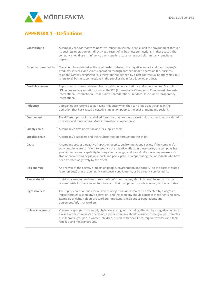

# <span id="page-53-0"></span>**APPENDIX 1 - Definitions**

| Contribute to           | A company can <i>contribute to</i> negative impact on society, people, and the environment through<br>its business operation or indirectly as a result of its business connections. In these cases, the<br>company should use its influence over suppliers to, as far as possible, limit any remaining<br>impact.                                                                                                                      |
|-------------------------|----------------------------------------------------------------------------------------------------------------------------------------------------------------------------------------------------------------------------------------------------------------------------------------------------------------------------------------------------------------------------------------------------------------------------------------|
| Directly connected to   | Connected to is defined as the relationship between the negative impact and the company's<br>products, services, or business operation through another actor's operation (i.e. business<br>relation). Directly connected to is therefore not defined by direct contractual relationships, but<br>refers to all business connections in the supplier chain for a labelled product.                                                      |
| <b>Credible sources</b> | Reports and analyses retrieved from established organisations and expert bodies. Examples:<br>UN bodies and organisations such as the ICC (International Chamber of Commerce), Amnesty<br>International, International Trade Union Confederation, Freedom House, and Transparency<br>International.                                                                                                                                    |
| Influence               | Companies are referred to as having influence when they can bring about change in the<br>operation that has caused a negative impact on people, the environment, and society.                                                                                                                                                                                                                                                          |
| Component               | The different parts of the labelled furniture that are the smallest unit that must be considered<br>in review and risk analysis. More information in Appendix 2.                                                                                                                                                                                                                                                                       |
| Supply chain            | A company's own operation and its supplier chain.                                                                                                                                                                                                                                                                                                                                                                                      |
| Supplier chain          | A company's suppliers and their subcontractors throughout the chain.                                                                                                                                                                                                                                                                                                                                                                   |
| Cause                   | A company causes a negative impact on people, environment, and society if the company's<br>activities alone are sufficient to produce the negative effect. In these cases, the company has<br>great influence and capability to bring about change, and should take necessary measures to<br>stop or prevent this negative impact, and participate in compensating the individuals who have<br>been affected negatively by the effect. |
| <b>Risk analysis</b>    | An analysis of the negative impact on people, environment, and society (on the basis of stated<br>requirements) that the company can cause, contribute to, or be directly connected to.                                                                                                                                                                                                                                                |
| Raw material            | In risk analyses and reviews of raw materials the company should at least focus on the main<br>raw materials for the labelled furniture and their components, such as wood, textile, and steel.                                                                                                                                                                                                                                        |
| <b>Rights holders</b>   | The supply chain contains various types of rights holders who can be affected by a negative<br>impact through a company's operation, and the company should consider these rights holders.<br>Examples of rights holders are workers, landowners, indigenous populations, and<br>outsourced/informal workers.                                                                                                                          |
| Vulnerable groups       | Vulnerable groups in the supply chain are at a higher risk being affected by a negative impact as<br>a result of the company's operation, and the company should consider these groups. Examples<br>of vulnerable groups are women, children, people with disabilities, migrant workers and their<br>families, and minority groups.                                                                                                    |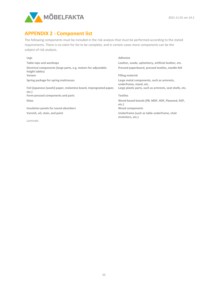

# <span id="page-54-0"></span>**APPENDIX 2 - Component list**

The following components must be included in the risk analysis that must be performed according to the stated requirements. There is no claim for list to be complete, and in certain cases more components can be the subject of risk analysis.

| Legs                                                                              | <b>Adhesive</b>                                                      |
|-----------------------------------------------------------------------------------|----------------------------------------------------------------------|
| Table tops and worktops                                                           | Leather, suede, upholstery, artificial leather, etc.                 |
| Electrical components (large parts, e.g. motors for adjustable-<br>height tables) | Pressed paperboard, pressed textiles, needle-felt                    |
| Veneer                                                                            | <b>Filling material</b>                                              |
| Spring package for spring mattresses                                              | Large metal components, such as armrests,<br>underframe, stand, etc. |
| Foil (Japanese [washi] paper, melamine board, impregnated paper,<br>etc.)         | Large plastic parts, such as armrests, seat shells, etc.             |
| Form-pressed components and parts                                                 | <b>Textiles</b>                                                      |
| Glass                                                                             | Wood-based boards (PB, MDF, HDF, Plywood, EGP,<br>etc.)              |
| Insulation panels for sound absorbers                                             | Wood components                                                      |
| Varnish, oil, stain, and paint                                                    | Underframe (such as table underframe, chair<br>stretchers, etc.)     |
| Laminate                                                                          |                                                                      |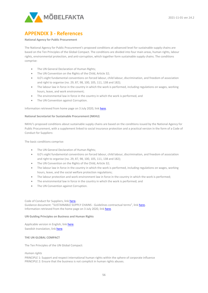

# <span id="page-55-0"></span>**APPENDIX 3 - References**

#### **National Agency for Public Procurement**

The National Agency for Public Procurement's proposed conditions at advanced level for sustainable supply chains are based on the Ten Principles of the Global Compact. The conditions are divided into four main areas, human rights, labour rights, environmental protection, and anti-corruption, which together form sustainable supply chains. The conditions comprise:

- The UN General Declaration of Human Rights;
- The UN Convention on the Rights of the Child, Article 32;
- ILO's eight fundamental conventions on forced labour, child labour, discrimination, and freedom of association and right to organise (no. 29, 87, 98, 100, 105, 111, 138 and 182);
- The labour law in force in the country in which the work is performed, including regulations on wages, working hours, leave, and work environment;
- The environmental law in force in the country in which the work is performed, and
- The UN Convention against Corruption.

Information retrieved from home page on 3 July 2020, lin[k here.](https://www.upphandlingsmyndigheten.se/hallbarhet/stall-hallbarhetskrav/arbetsrattsliga-villkor/arbetsrattsliga-villkor-enligt-ilos-karnkonventioner-och-hallbara-leveranskedjor/hallbara-leveranskedjor/)

#### **National Secretariat for Sustainable Procurement (NKHU)**

NKHU's proposed conditions about sustainable supply chains are based on the conditions issued by the National Agency for Public Procurement, with a supplement linked to social insurance protection and a practical version in the form of a Code of Conduct for Suppliers:

The basic conditions comprise:

- The UN General Declaration of Human Rights;
- ILO's eight fundamental conventions on forced labour, child labour, discrimination, and freedom of association and right to organise (no. 29, 87, 98, 100, 105, 111, 138 and 182);
- The UN Convention on the Rights of the Child, Article 32;
- The labour law in force in the country in which the work is performed, including regulations on wages, working hours, leave, and the social welfare protection regulations;
- The labour protection and work environment law in force in the country in which the work is performed;
- The environmental law in force in the country in which the work is performed; and
- The UN Convention against Corruption.

Code of Conduct for Suppliers, lin[k here.](http://www.h%C3%A5llbarupphandling.se/component/phocadownload/file/51-uppfoerandekod-foer-leverantoerer) Guidance document: "SUSTAINABLE SUPPLY CHAINS - Guidelines contractual terms", link [here.](http://www.h%C3%A5llbarupphandling.se/component/phocadownload/file/80-vaegledning-hallbara-leveranskedjor)  Information retrieved from the home page on 3 July 2020, lin[k here.](http://www.h%C3%A5llbarupphandling.se/component/phocadownload/file/80-vaegledning-hallbara-leveranskedjor) 

#### **UN Guiding Principles on Business and Human Rights**

Applicable version in English, link here. Swedish translation, link [here.](http://www.statskontoret.se/globalassets/publikationer/2018/201808_bilaga-2_uppdaterad.pdf)

#### **THE UN GLOBAL COMPACT**

The Ten Principles of the UN Global Compact:

*Human rights*

PRINCIPLE 1: Support and respect international human rights within the sphere of corporate influence PRINCIPLE 2: Ensure that the business is not complicit in human rights abuses.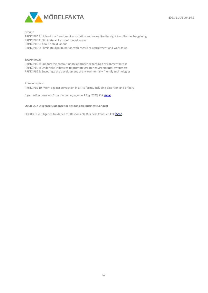

*Labour* 

PRINCIPLE 3: Uphold the freedom of association and recognise the right to collective bargaining PRINCIPLE 4: Eliminate all forms of forced labour PRINCIPLE 5: Abolish child labour PRINCIPLE 6: Eliminate discrimination with regard to recruitment and work tasks

#### *Environment*

PRINCIPLE 7: Support the precautionary approach regarding environmental risks PRINCIPLE 8: Undertake initiatives to promote greater environmental awareness PRINCIPLE 9: Encourage the development of environmentally friendly technologies

#### *Anti-corruption*

PRINCIPLE 10: Work against corruption in all its forms, including extortion and bribery

*Information retrieved from the home page on 3 July 2020, link [here](https://globalcompact.se/om-un-global-compact/de-10-principerna/).* 

#### **OECD Due Diligence Guidance for Responsible Business Conduct**

OECD:s Due Diligence Guidance for Responsible Business Conduct, link [here](https://www.oecd.org/investment/due-diligence-guidance-for-responsible-business-conduct.htm).